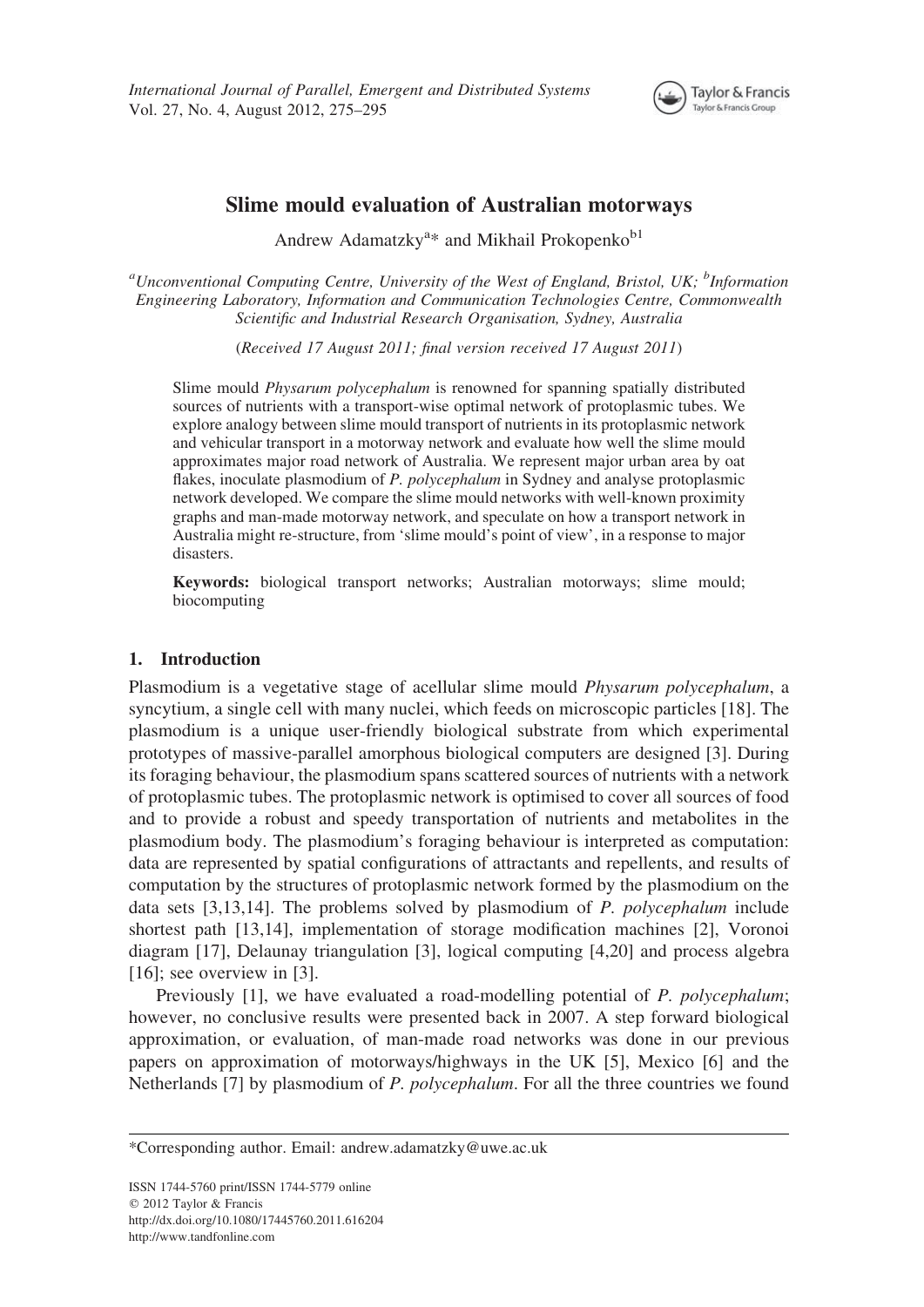

# Slime mould evaluation of Australian motorways

Andrew Adamatzky<sup>a\*</sup> and Mikhail Prokopenko<sup>b1</sup>

<sup>a</sup>Unconventional Computing Centre, University of the West of England, Bristol, UK; <sup>b</sup>Information Engineering Laboratory, Information and Communication Technologies Centre, Commonwealth Scientific and Industrial Research Organisation, Sydney, Australia

(Received 17 August 2011; final version received 17 August 2011)

Slime mould Physarum polycephalum is renowned for spanning spatially distributed sources of nutrients with a transport-wise optimal network of protoplasmic tubes. We explore analogy between slime mould transport of nutrients in its protoplasmic network and vehicular transport in a motorway network and evaluate how well the slime mould approximates major road network of Australia. We represent major urban area by oat flakes, inoculate plasmodium of P. polycephalum in Sydney and analyse protoplasmic network developed. We compare the slime mould networks with well-known proximity graphs and man-made motorway network, and speculate on how a transport network in Australia might re-structure, from 'slime mould's point of view', in a response to major disasters.

Keywords: biological transport networks; Australian motorways; slime mould; biocomputing

# 1. Introduction

Plasmodium is a vegetative stage of acellular slime mould Physarum polycephalum, a syncytium, a single cell with many nuclei, which feeds on microscopic particles [18]. The plasmodium is a unique user-friendly biological substrate from which experimental prototypes of massive-parallel amorphous biological computers are designed [3]. During its foraging behaviour, the plasmodium spans scattered sources of nutrients with a network of protoplasmic tubes. The protoplasmic network is optimised to cover all sources of food and to provide a robust and speedy transportation of nutrients and metabolites in the plasmodium body. The plasmodium's foraging behaviour is interpreted as computation: data are represented by spatial configurations of attractants and repellents, and results of computation by the structures of protoplasmic network formed by the plasmodium on the data sets [3,13,14]. The problems solved by plasmodium of P. polycephalum include shortest path [13,14], implementation of storage modification machines [2], Voronoi diagram [17], Delaunay triangulation [3], logical computing [4,20] and process algebra [16]; see overview in [3].

Previously [1], we have evaluated a road-modelling potential of P. polycephalum; however, no conclusive results were presented back in 2007. A step forward biological approximation, or evaluation, of man-made road networks was done in our previous papers on approximation of motorways/highways in the UK [5], Mexico [6] and the Netherlands [7] by plasmodium of P. polycephalum. For all the three countries we found

<sup>\*</sup>Corresponding author. Email: andrew.adamatzky@uwe.ac.uk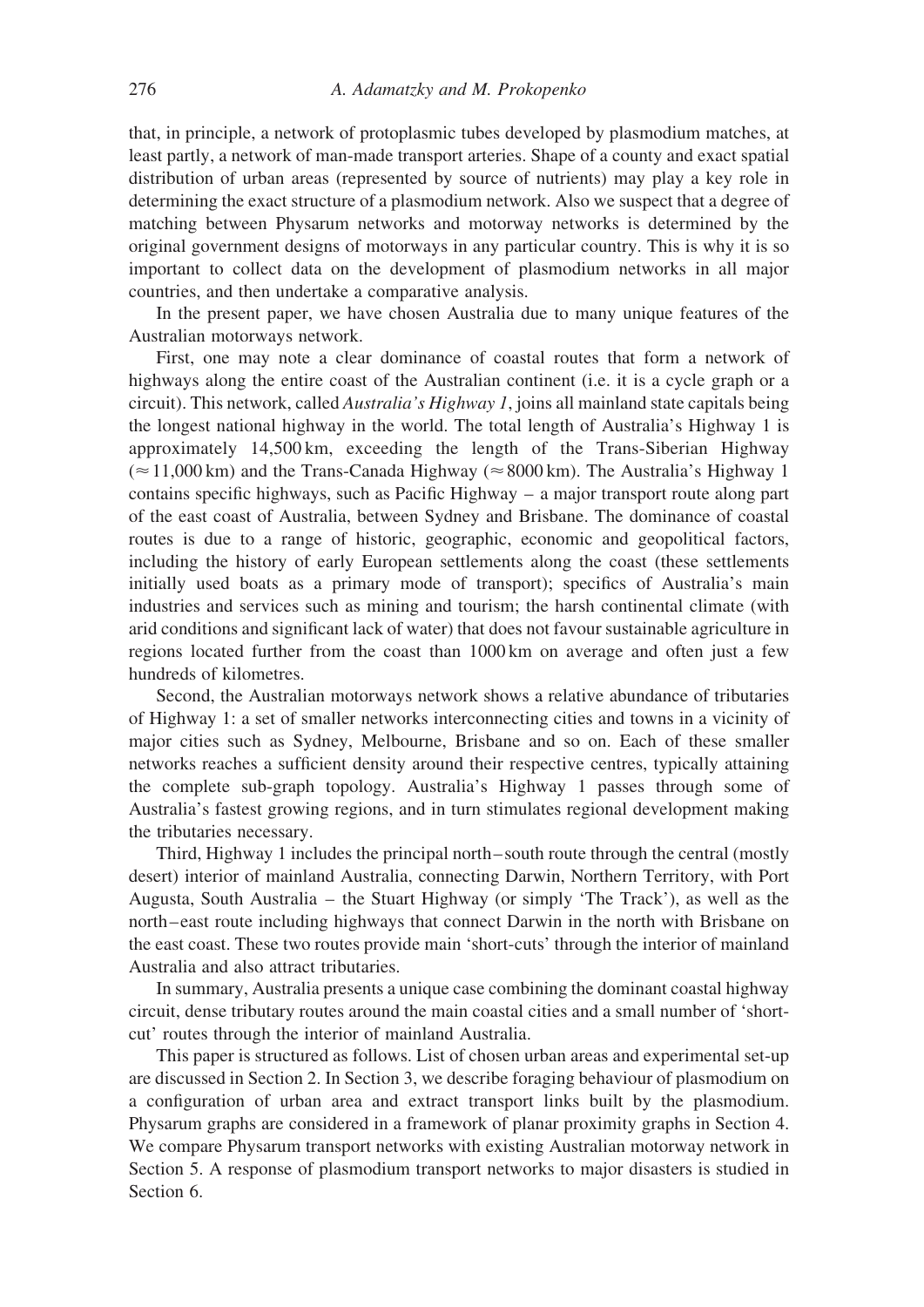that, in principle, a network of protoplasmic tubes developed by plasmodium matches, at least partly, a network of man-made transport arteries. Shape of a county and exact spatial distribution of urban areas (represented by source of nutrients) may play a key role in determining the exact structure of a plasmodium network. Also we suspect that a degree of matching between Physarum networks and motorway networks is determined by the original government designs of motorways in any particular country. This is why it is so important to collect data on the development of plasmodium networks in all major countries, and then undertake a comparative analysis.

In the present paper, we have chosen Australia due to many unique features of the Australian motorways network.

First, one may note a clear dominance of coastal routes that form a network of highways along the entire coast of the Australian continent (i.e. it is a cycle graph or a circuit). This network, called Australia's Highway 1, joins all mainland state capitals being the longest national highway in the world. The total length of Australia's Highway 1 is approximately 14,500 km, exceeding the length of the Trans-Siberian Highway  $(\approx 11,000 \text{ km})$  and the Trans-Canada Highway ( $\approx 8000 \text{ km}$ ). The Australia's Highway 1 contains specific highways, such as Pacific Highway – a major transport route along part of the east coast of Australia, between Sydney and Brisbane. The dominance of coastal routes is due to a range of historic, geographic, economic and geopolitical factors, including the history of early European settlements along the coast (these settlements initially used boats as a primary mode of transport); specifics of Australia's main industries and services such as mining and tourism; the harsh continental climate (with arid conditions and significant lack of water) that does not favour sustainable agriculture in regions located further from the coast than 1000 km on average and often just a few hundreds of kilometres.

Second, the Australian motorways network shows a relative abundance of tributaries of Highway 1: a set of smaller networks interconnecting cities and towns in a vicinity of major cities such as Sydney, Melbourne, Brisbane and so on. Each of these smaller networks reaches a sufficient density around their respective centres, typically attaining the complete sub-graph topology. Australia's Highway 1 passes through some of Australia's fastest growing regions, and in turn stimulates regional development making the tributaries necessary.

Third, Highway 1 includes the principal north– south route through the central (mostly desert) interior of mainland Australia, connecting Darwin, Northern Territory, with Port Augusta, South Australia – the Stuart Highway (or simply 'The Track'), as well as the north –east route including highways that connect Darwin in the north with Brisbane on the east coast. These two routes provide main 'short-cuts' through the interior of mainland Australia and also attract tributaries.

In summary, Australia presents a unique case combining the dominant coastal highway circuit, dense tributary routes around the main coastal cities and a small number of 'shortcut' routes through the interior of mainland Australia.

This paper is structured as follows. List of chosen urban areas and experimental set-up are discussed in Section 2. In Section 3, we describe foraging behaviour of plasmodium on a configuration of urban area and extract transport links built by the plasmodium. Physarum graphs are considered in a framework of planar proximity graphs in Section 4. We compare Physarum transport networks with existing Australian motorway network in Section 5. A response of plasmodium transport networks to major disasters is studied in Section 6.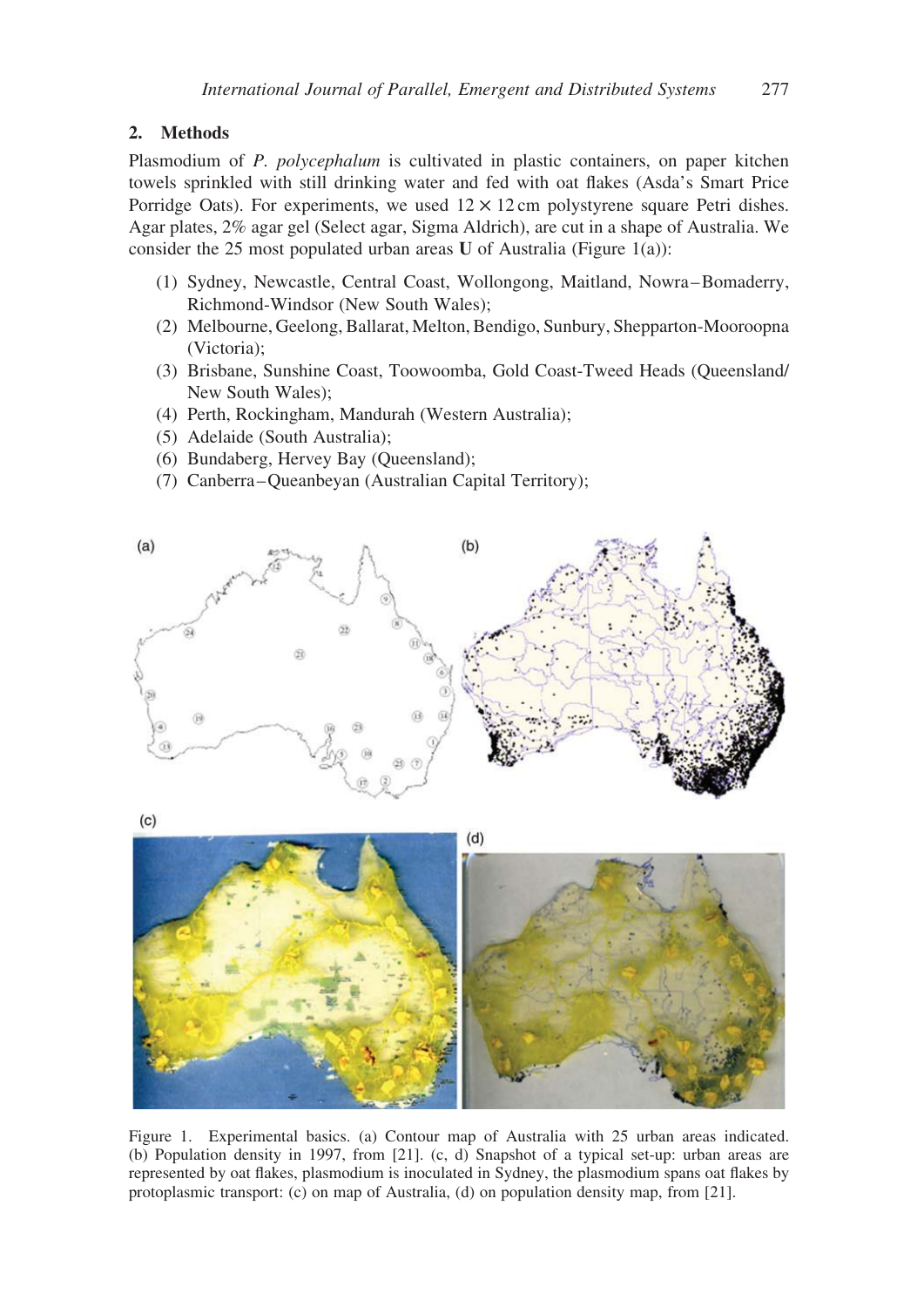# 2. Methods

Plasmodium of P. polycephalum is cultivated in plastic containers, on paper kitchen towels sprinkled with still drinking water and fed with oat flakes (Asda's Smart Price Porridge Oats). For experiments, we used  $12 \times 12$  cm polystyrene square Petri dishes. Agar plates, 2% agar gel (Select agar, Sigma Aldrich), are cut in a shape of Australia. We consider the 25 most populated urban areas U of Australia (Figure 1(a)):

- (1) Sydney, Newcastle, Central Coast, Wollongong, Maitland, Nowra –Bomaderry, Richmond-Windsor (New South Wales);
- (2) Melbourne, Geelong, Ballarat, Melton, Bendigo, Sunbury, Shepparton-Mooroopna (Victoria);
- (3) Brisbane, Sunshine Coast, Toowoomba, Gold Coast-Tweed Heads (Queensland/ New South Wales);
- (4) Perth, Rockingham, Mandurah (Western Australia);
- (5) Adelaide (South Australia);
- (6) Bundaberg, Hervey Bay (Queensland);
- (7) Canberra –Queanbeyan (Australian Capital Territory);



 $(c)$ 



Figure 1. Experimental basics. (a) Contour map of Australia with 25 urban areas indicated. (b) Population density in 1997, from [21]. (c, d) Snapshot of a typical set-up: urban areas are represented by oat flakes, plasmodium is inoculated in Sydney, the plasmodium spans oat flakes by protoplasmic transport: (c) on map of Australia, (d) on population density map, from [21].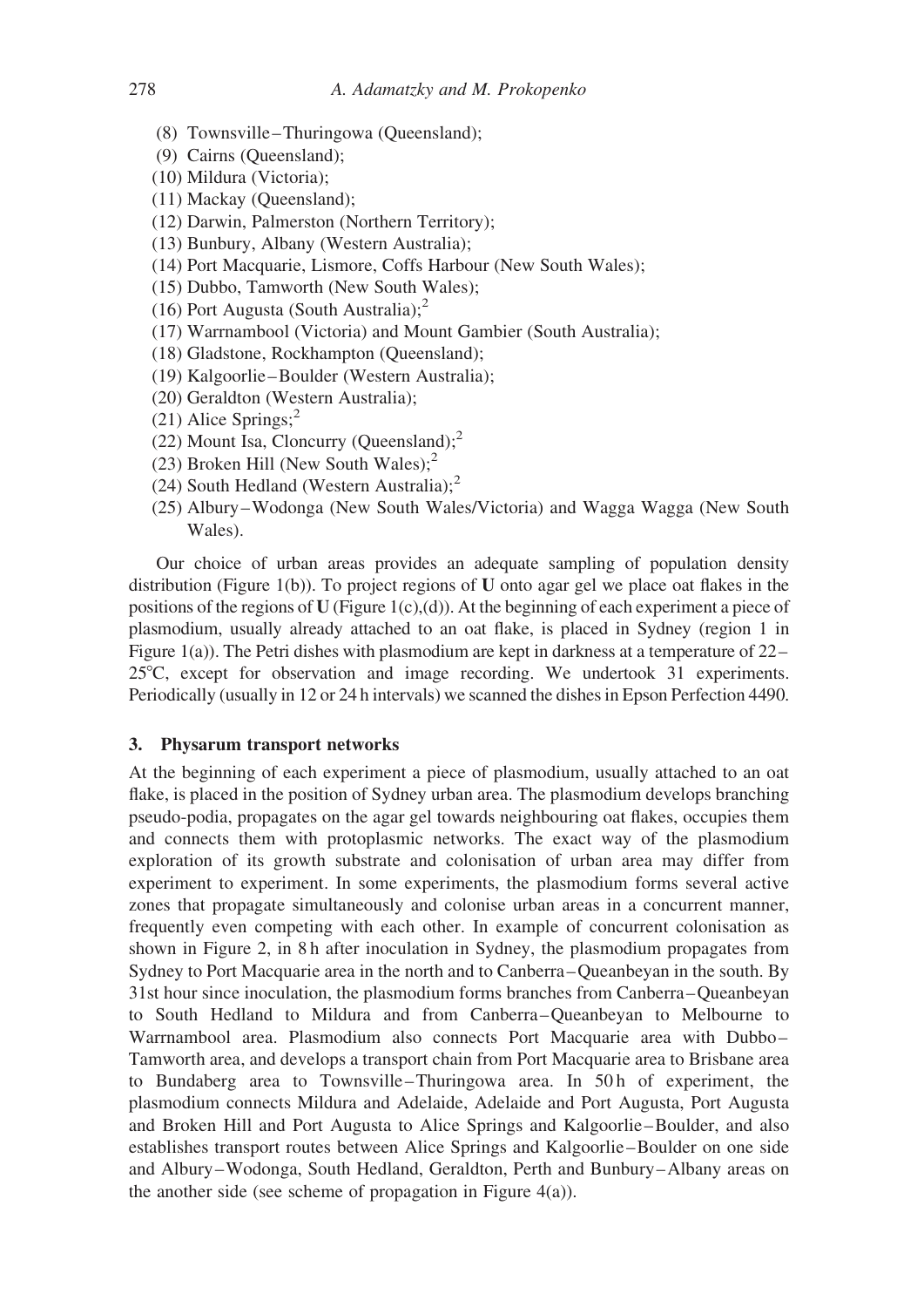- (8) Townsville –Thuringowa (Queensland);
- (9) Cairns (Queensland);
- (10) Mildura (Victoria);
- (11) Mackay (Queensland);
- (12) Darwin, Palmerston (Northern Territory);
- (13) Bunbury, Albany (Western Australia);
- (14) Port Macquarie, Lismore, Coffs Harbour (New South Wales);
- (15) Dubbo, Tamworth (New South Wales);
- (16) Port Augusta (South Australia); $<sup>2</sup>$ </sup>
- (17) Warrnambool (Victoria) and Mount Gambier (South Australia);
- (18) Gladstone, Rockhampton (Queensland);
- (19) Kalgoorlie –Boulder (Western Australia);
- (20) Geraldton (Western Australia);
- $(21)$  Alice Springs;<sup>2</sup>
- (22) Mount Isa, Cloncurry (Queensland); $2$
- (23) Broken Hill (New South Wales); $<sup>2</sup>$ </sup>
- (24) South Hedland (Western Australia); $2$
- (25) Albury –Wodonga (New South Wales/Victoria) and Wagga Wagga (New South Wales).

Our choice of urban areas provides an adequate sampling of population density distribution (Figure 1(b)). To project regions of U onto agar gel we place oat flakes in the positions of the regions of U (Figure 1(c),(d)). At the beginning of each experiment a piece of plasmodium, usually already attached to an oat flake, is placed in Sydney (region 1 in Figure 1(a)). The Petri dishes with plasmodium are kept in darkness at a temperature of 22–  $25^{\circ}$ C, except for observation and image recording. We undertook 31 experiments. Periodically (usually in 12 or 24 h intervals) we scanned the dishes in Epson Perfection 4490.

# 3. Physarum transport networks

At the beginning of each experiment a piece of plasmodium, usually attached to an oat flake, is placed in the position of Sydney urban area. The plasmodium develops branching pseudo-podia, propagates on the agar gel towards neighbouring oat flakes, occupies them and connects them with protoplasmic networks. The exact way of the plasmodium exploration of its growth substrate and colonisation of urban area may differ from experiment to experiment. In some experiments, the plasmodium forms several active zones that propagate simultaneously and colonise urban areas in a concurrent manner, frequently even competing with each other. In example of concurrent colonisation as shown in Figure 2, in 8 h after inoculation in Sydney, the plasmodium propagates from Sydney to Port Macquarie area in the north and to Canberra –Queanbeyan in the south. By 31st hour since inoculation, the plasmodium forms branches from Canberra –Queanbeyan to South Hedland to Mildura and from Canberra –Queanbeyan to Melbourne to Warrnambool area. Plasmodium also connects Port Macquarie area with Dubbo-Tamworth area, and develops a transport chain from Port Macquarie area to Brisbane area to Bundaberg area to Townsville –Thuringowa area. In 50 h of experiment, the plasmodium connects Mildura and Adelaide, Adelaide and Port Augusta, Port Augusta and Broken Hill and Port Augusta to Alice Springs and Kalgoorlie –Boulder, and also establishes transport routes between Alice Springs and Kalgoorlie –Boulder on one side and Albury –Wodonga, South Hedland, Geraldton, Perth and Bunbury –Albany areas on the another side (see scheme of propagation in Figure  $4(a)$ ).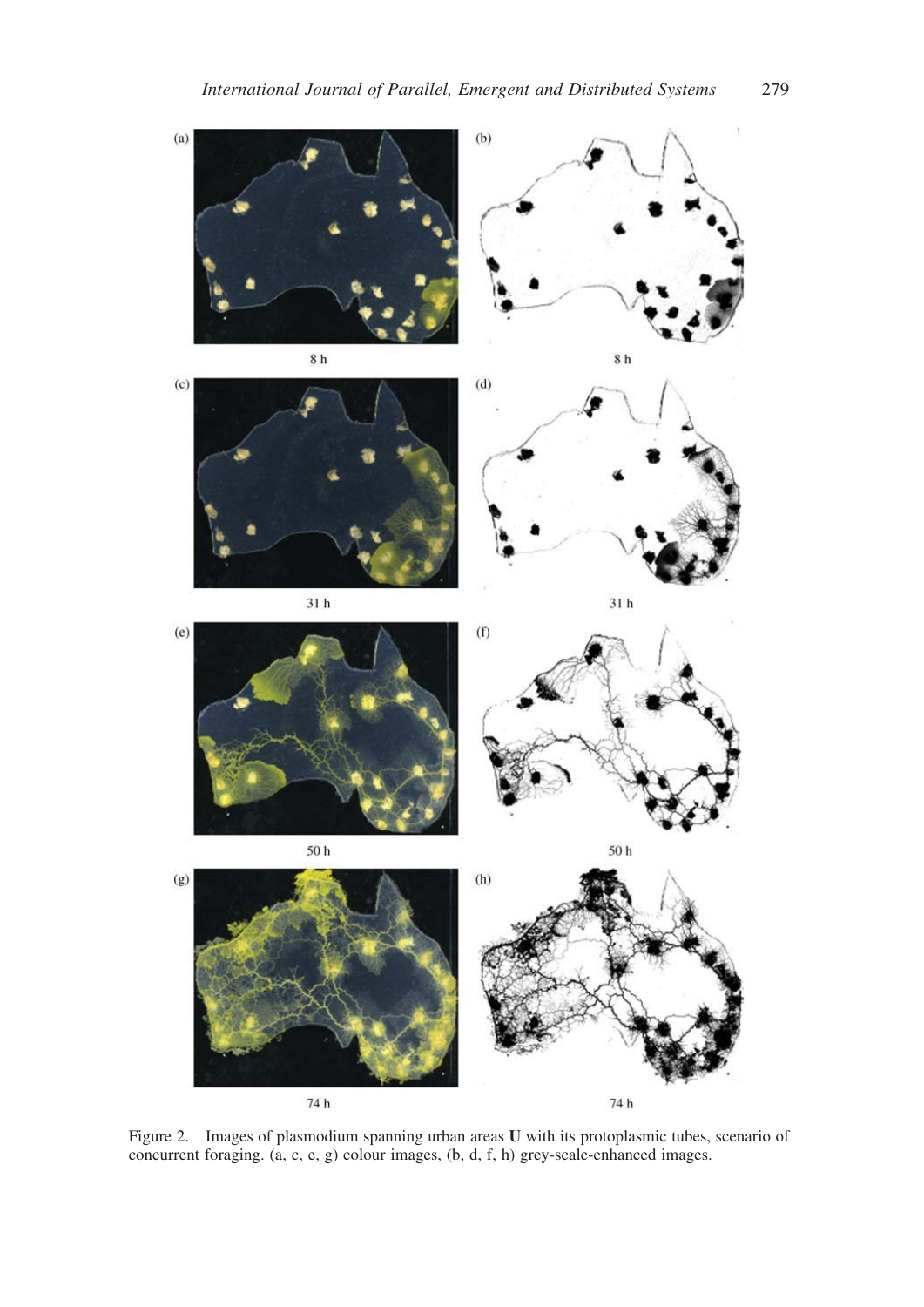

Figure 2. Images of plasmodium spanning urban areas U with its protoplasmic tubes, scenario of concurrent foraging. (a, c, e, g) colour images, (b, d, f, h) grey-scale-enhanced images.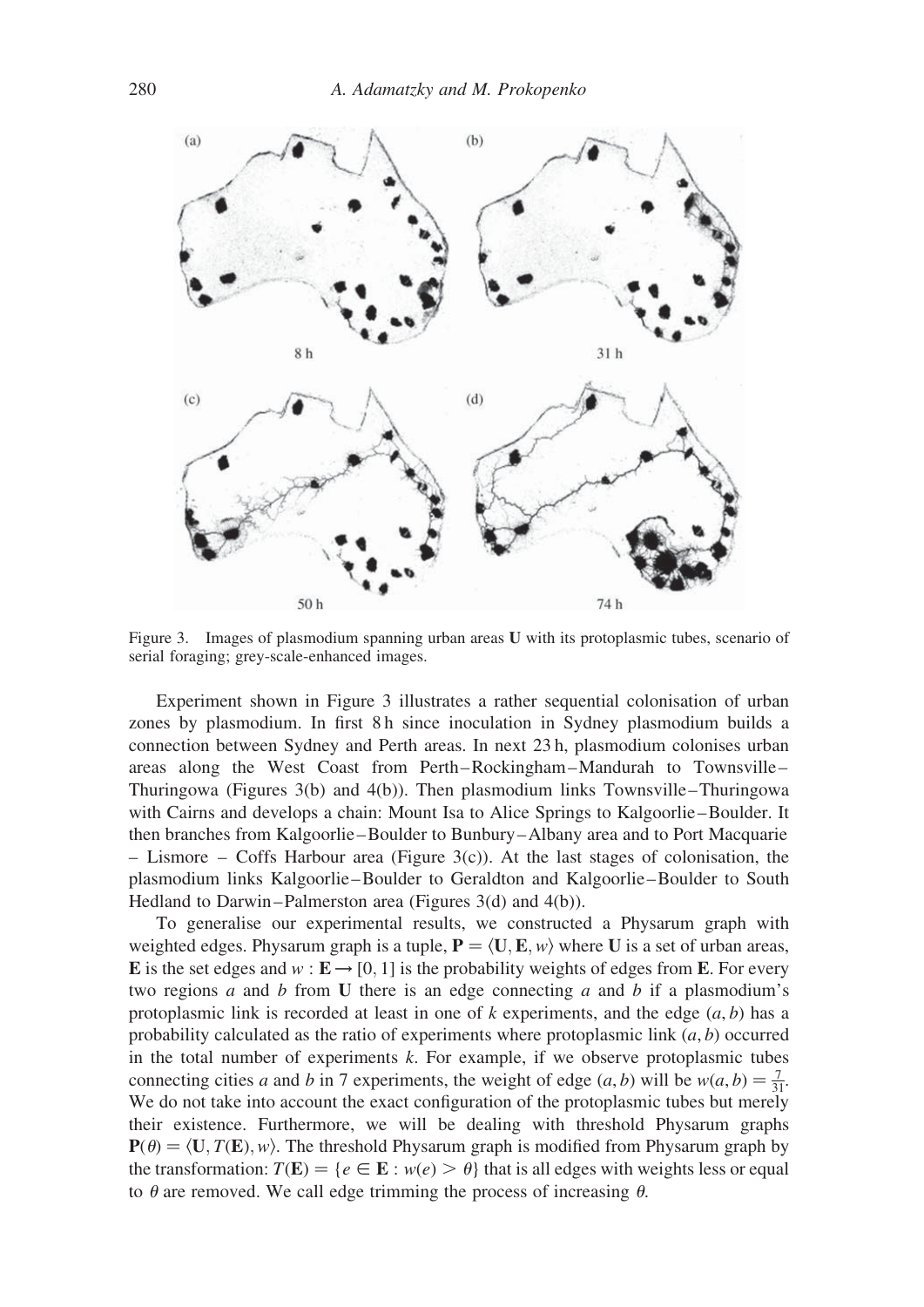

Figure 3. Images of plasmodium spanning urban areas U with its protoplasmic tubes, scenario of serial foraging; grey-scale-enhanced images.

Experiment shown in Figure 3 illustrates a rather sequential colonisation of urban zones by plasmodium. In first 8 h since inoculation in Sydney plasmodium builds a connection between Sydney and Perth areas. In next 23 h, plasmodium colonises urban areas along the West Coast from Perth–Rockingham –Mandurah to Townsville – Thuringowa (Figures 3(b) and 4(b)). Then plasmodium links Townsville –Thuringowa with Cairns and develops a chain: Mount Isa to Alice Springs to Kalgoorlie –Boulder. It then branches from Kalgoorlie –Boulder to Bunbury –Albany area and to Port Macquarie – Lismore – Coffs Harbour area (Figure 3(c)). At the last stages of colonisation, the plasmodium links Kalgoorlie –Boulder to Geraldton and Kalgoorlie –Boulder to South Hedland to Darwin–Palmerston area (Figures 3(d) and 4(b)).

To generalise our experimental results, we constructed a Physarum graph with weighted edges. Physarum graph is a tuple,  $P = \langle U, E, w \rangle$  where U is a set of urban areas, **E** is the set edges and  $w : \mathbf{E} \to [0, 1]$  is the probability weights of edges from **E**. For every two regions  $a$  and  $b$  from U there is an edge connecting  $a$  and  $b$  if a plasmodium's protoplasmic link is recorded at least in one of k experiments, and the edge  $(a, b)$  has a probability calculated as the ratio of experiments where protoplasmic link  $(a, b)$  occurred in the total number of experiments  $k$ . For example, if we observe protoplasmic tubes connecting cities a and b in 7 experiments, the weight of edge  $(a, b)$  will be  $w(a, b) = \frac{7}{3!}$ . We do not take into account the exact configuration of the protoplasmic tubes but merely their existence. Furthermore, we will be dealing with threshold Physarum graphs  $P(\theta) = \langle U, T(E), w \rangle$ . The threshold Physarum graph is modified from Physarum graph by the transformation:  $T(\mathbf{E}) = \{e \in \mathbf{E} : w(e) > \theta\}$  that is all edges with weights less or equal to  $\theta$  are removed. We call edge trimming the process of increasing  $\theta$ .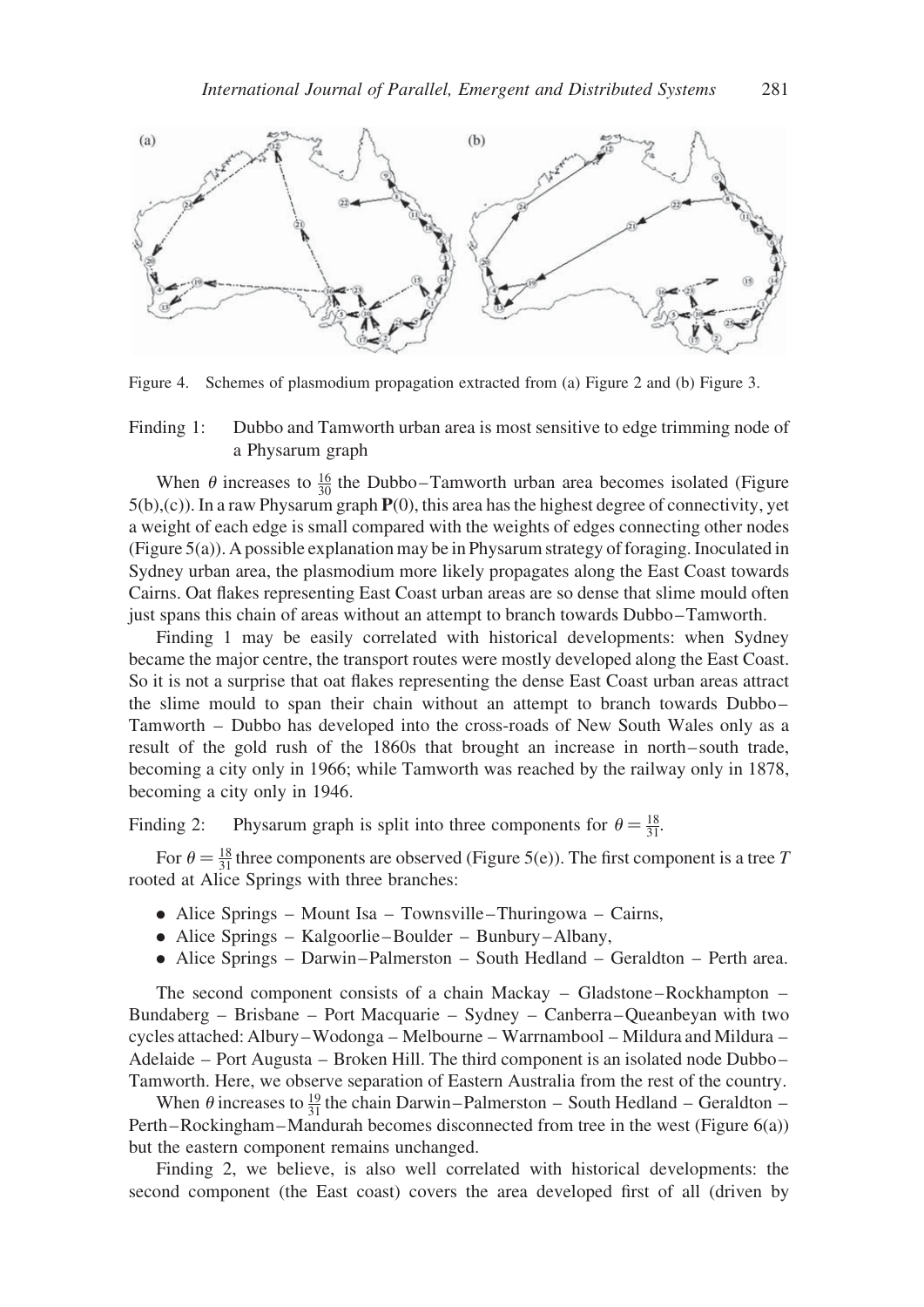

Figure 4. Schemes of plasmodium propagation extracted from (a) Figure 2 and (b) Figure 3.

Finding 1: Dubbo and Tamworth urban area is most sensitive to edge trimming node of a Physarum graph

When  $\theta$  increases to  $\frac{16}{30}$  the Dubbo-Tamworth urban area becomes isolated (Figure 5(b),(c)). In a raw Physarum graph P(0), this area has the highest degree of connectivity, yet a weight of each edge is small compared with the weights of edges connecting other nodes (Figure 5(a)). A possible explanation may be in Physarum strategy of foraging. Inoculated in Sydney urban area, the plasmodium more likely propagates along the East Coast towards Cairns. Oat flakes representing East Coast urban areas are so dense that slime mould often just spans this chain of areas without an attempt to branch towards Dubbo –Tamworth.

Finding 1 may be easily correlated with historical developments: when Sydney became the major centre, the transport routes were mostly developed along the East Coast. So it is not a surprise that oat flakes representing the dense East Coast urban areas attract the slime mould to span their chain without an attempt to branch towards Dubbo – Tamworth – Dubbo has developed into the cross-roads of New South Wales only as a result of the gold rush of the 1860s that brought an increase in north– south trade, becoming a city only in 1966; while Tamworth was reached by the railway only in 1878, becoming a city only in 1946.

Finding 2: Physarum graph is split into three components for  $\theta = \frac{18}{31}$ .

For  $\theta = \frac{18}{31}$  three components are observed (Figure 5(e)). The first component is a tree T rooted at Alice Springs with three branches:

- . Alice Springs Mount Isa Townsville –Thuringowa Cairns,
- . Alice Springs Kalgoorlie –Boulder Bunbury –Albany,
- . Alice Springs Darwin –Palmerston South Hedland Geraldton Perth area.

The second component consists of a chain Mackay – Gladstone –Rockhampton – Bundaberg – Brisbane – Port Macquarie – Sydney – Canberra –Queanbeyan with two cycles attached: Albury –Wodonga – Melbourne – Warrnambool – Mildura and Mildura – Adelaide – Port Augusta – Broken Hill. The third component is an isolated node Dubbo – Tamworth. Here, we observe separation of Eastern Australia from the rest of the country.

When  $\theta$  increases to  $\frac{19}{31}$  the chain Darwin–Palmerston – South Hedland – Geraldton – Perth –Rockingham –Mandurah becomes disconnected from tree in the west (Figure 6(a)) but the eastern component remains unchanged.

Finding 2, we believe, is also well correlated with historical developments: the second component (the East coast) covers the area developed first of all (driven by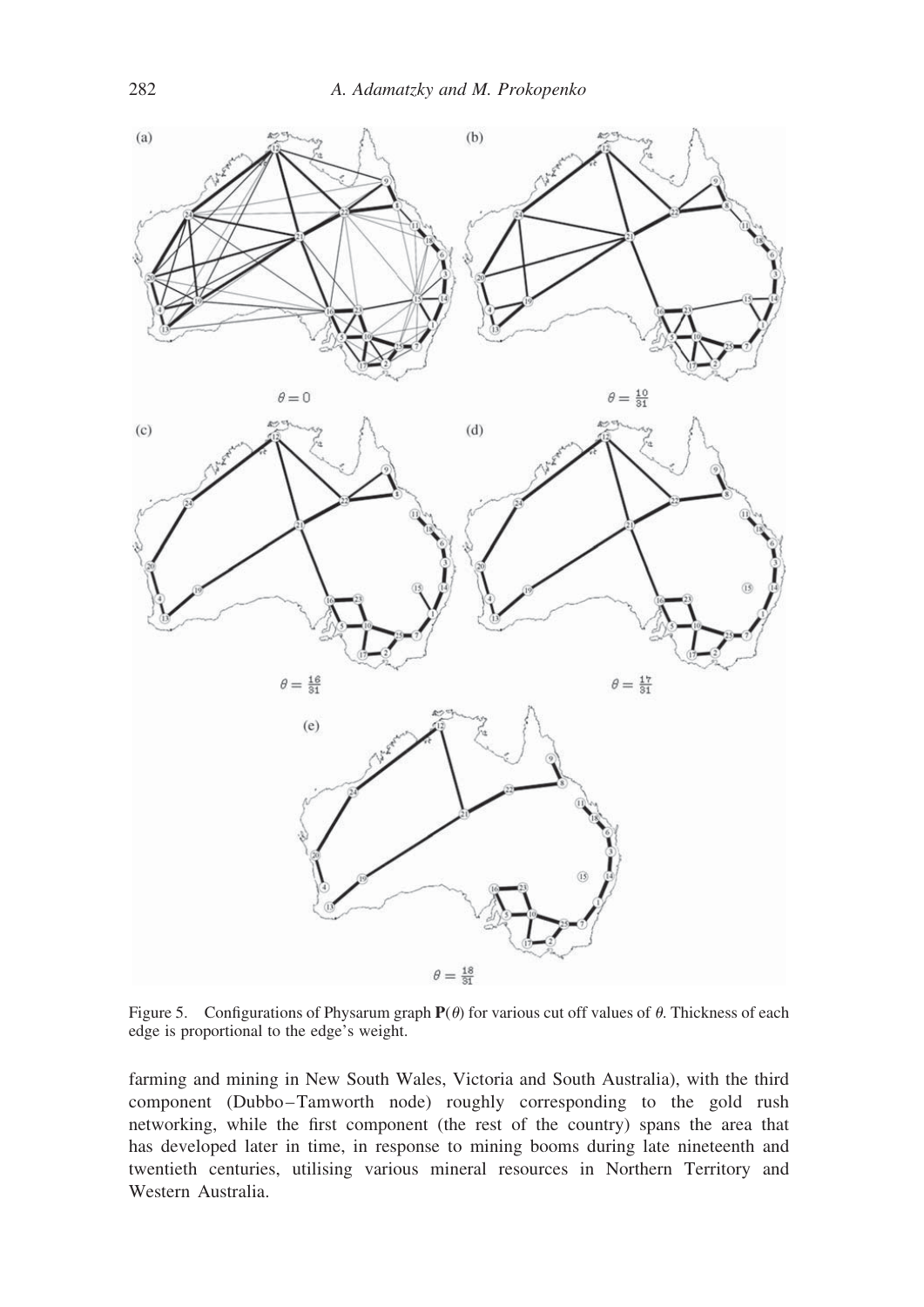

Figure 5. Configurations of Physarum graph  $P(\theta)$  for various cut off values of  $\theta$ . Thickness of each edge is proportional to the edge's weight.

farming and mining in New South Wales, Victoria and South Australia), with the third component (Dubbo-Tamworth node) roughly corresponding to the gold rush networking, while the first component (the rest of the country) spans the area that has developed later in time, in response to mining booms during late nineteenth and twentieth centuries, utilising various mineral resources in Northern Territory and Western Australia.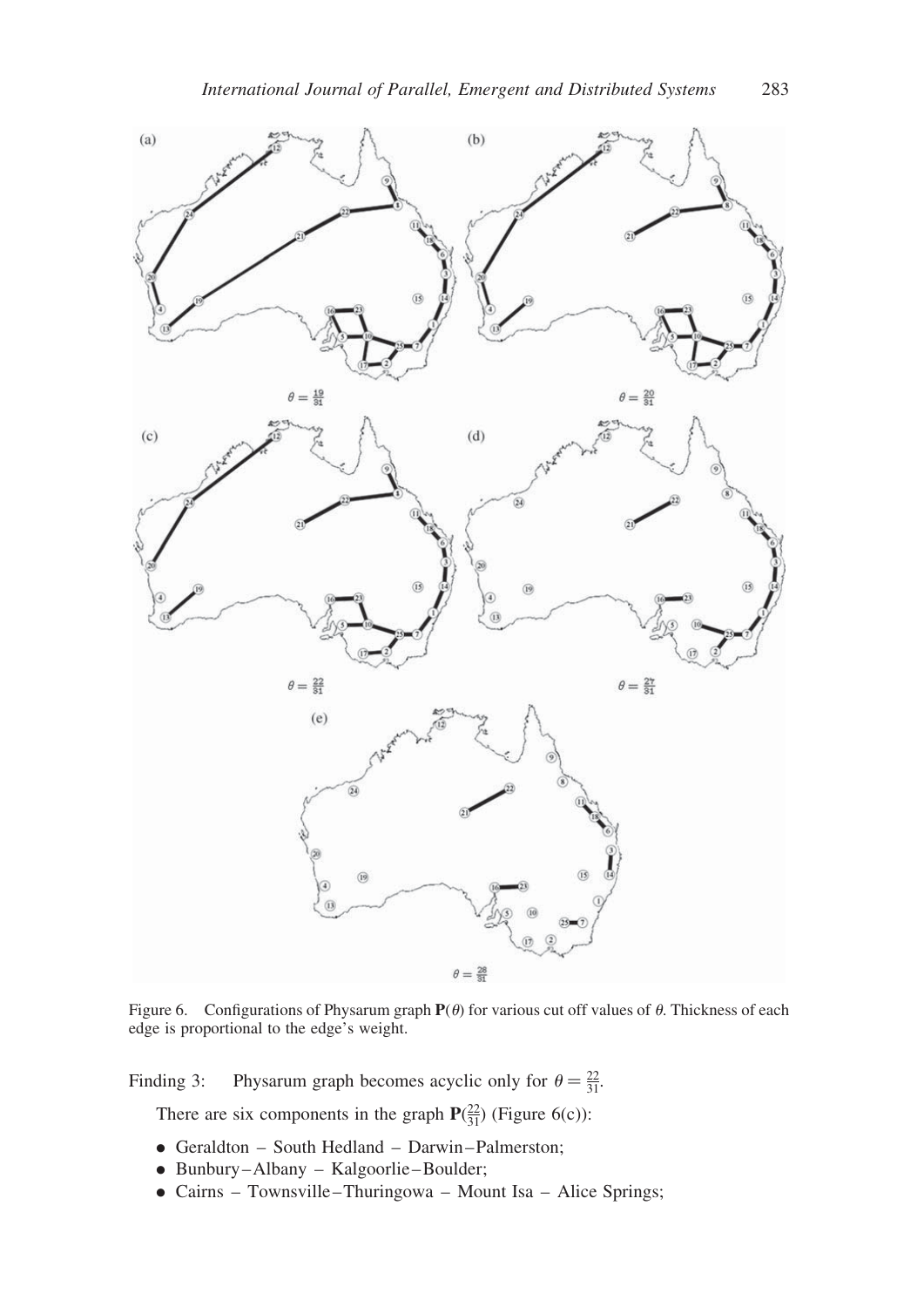

Figure 6. Configurations of Physarum graph  $P(\theta)$  for various cut off values of  $\theta$ . Thickness of each edge is proportional to the edge's weight.

Finding 3: Physarum graph becomes acyclic only for  $\theta = \frac{22}{31}$ .

There are six components in the graph  $P(\frac{22}{31})$  (Figure 6(c)):

- . Geraldton South Hedland Darwin –Palmerston;
- . Bunbury –Albany Kalgoorlie –Boulder;
- . Cairns Townsville –Thuringowa Mount Isa Alice Springs;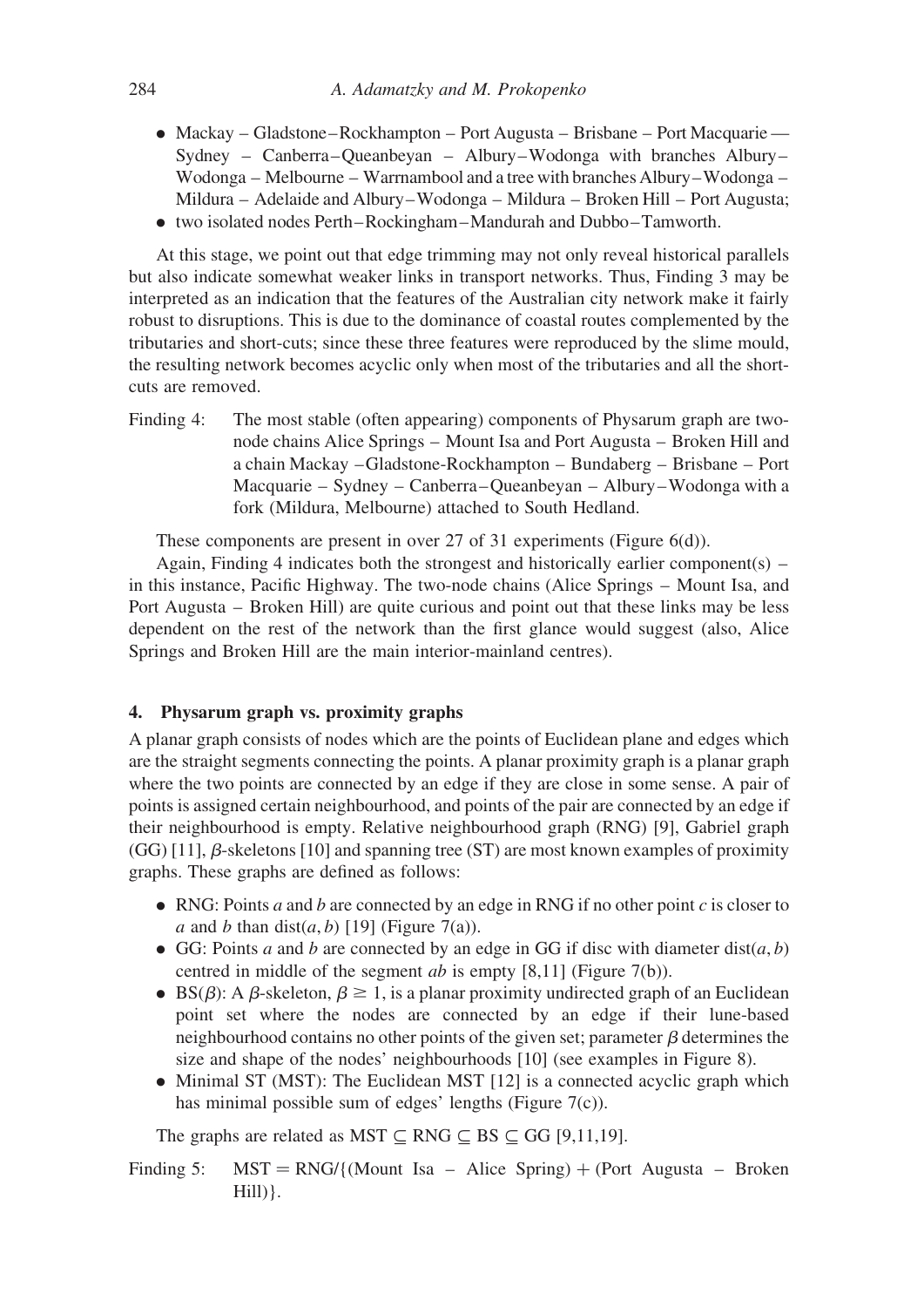- . Mackay Gladstone–Rockhampton Port Augusta Brisbane Port Macquarie Sydney – Canberra–Queanbeyan – Albury–Wodonga with branches Albury– Wodonga – Melbourne – Warrnambool and a tree with branches Albury–Wodonga – Mildura – Adelaide and Albury–Wodonga – Mildura – Broken Hill – Port Augusta;
- . two isolated nodes Perth–Rockingham–Mandurah and Dubbo–Tamworth.

At this stage, we point out that edge trimming may not only reveal historical parallels but also indicate somewhat weaker links in transport networks. Thus, Finding 3 may be interpreted as an indication that the features of the Australian city network make it fairly robust to disruptions. This is due to the dominance of coastal routes complemented by the tributaries and short-cuts; since these three features were reproduced by the slime mould, the resulting network becomes acyclic only when most of the tributaries and all the shortcuts are removed.

Finding 4: The most stable (often appearing) components of Physarum graph are twonode chains Alice Springs – Mount Isa and Port Augusta – Broken Hill and a chain Mackay –Gladstone-Rockhampton – Bundaberg – Brisbane – Port Macquarie – Sydney – Canberra –Queanbeyan – Albury –Wodonga with a fork (Mildura, Melbourne) attached to South Hedland.

These components are present in over 27 of 31 experiments (Figure 6(d)).

Again, Finding 4 indicates both the strongest and historically earlier component(s) – in this instance, Pacific Highway. The two-node chains (Alice Springs – Mount Isa, and Port Augusta – Broken Hill) are quite curious and point out that these links may be less dependent on the rest of the network than the first glance would suggest (also, Alice Springs and Broken Hill are the main interior-mainland centres).

# 4. Physarum graph vs. proximity graphs

A planar graph consists of nodes which are the points of Euclidean plane and edges which are the straight segments connecting the points. A planar proximity graph is a planar graph where the two points are connected by an edge if they are close in some sense. A pair of points is assigned certain neighbourhood, and points of the pair are connected by an edge if their neighbourhood is empty. Relative neighbourhood graph (RNG) [9], Gabriel graph (GG) [11],  $\beta$ -skeletons [10] and spanning tree (ST) are most known examples of proximity graphs. These graphs are defined as follows:

- $\bullet$  RNG: Points *a* and *b* are connected by an edge in RNG if no other point *c* is closer to a and b than dist $(a, b)$  [19] (Figure 7(a)).
- GG: Points a and b are connected by an edge in GG if disc with diameter dist( $a, b$ ) centred in middle of the segment *ab* is empty  $[8,11]$  (Figure 7(b)).
- BS( $\beta$ ): A  $\beta$ -skeleton,  $\beta \ge 1$ , is a planar proximity undirected graph of an Euclidean point set where the nodes are connected by an edge if their lune-based neighbourhood contains no other points of the given set; parameter  $\beta$  determines the size and shape of the nodes' neighbourhoods [10] (see examples in Figure 8).
- Minimal ST (MST): The Euclidean MST [12] is a connected acyclic graph which has minimal possible sum of edges' lengths (Figure 7(c)).

The graphs are related as MST  $\subset$  RNG  $\subset$  BS  $\subset$  GG [9,11,19].

Finding 5:  $MST = RNG/(Mount Isa - Alice Spring) + (Port Augusta - Broken)$  $Hill)$ .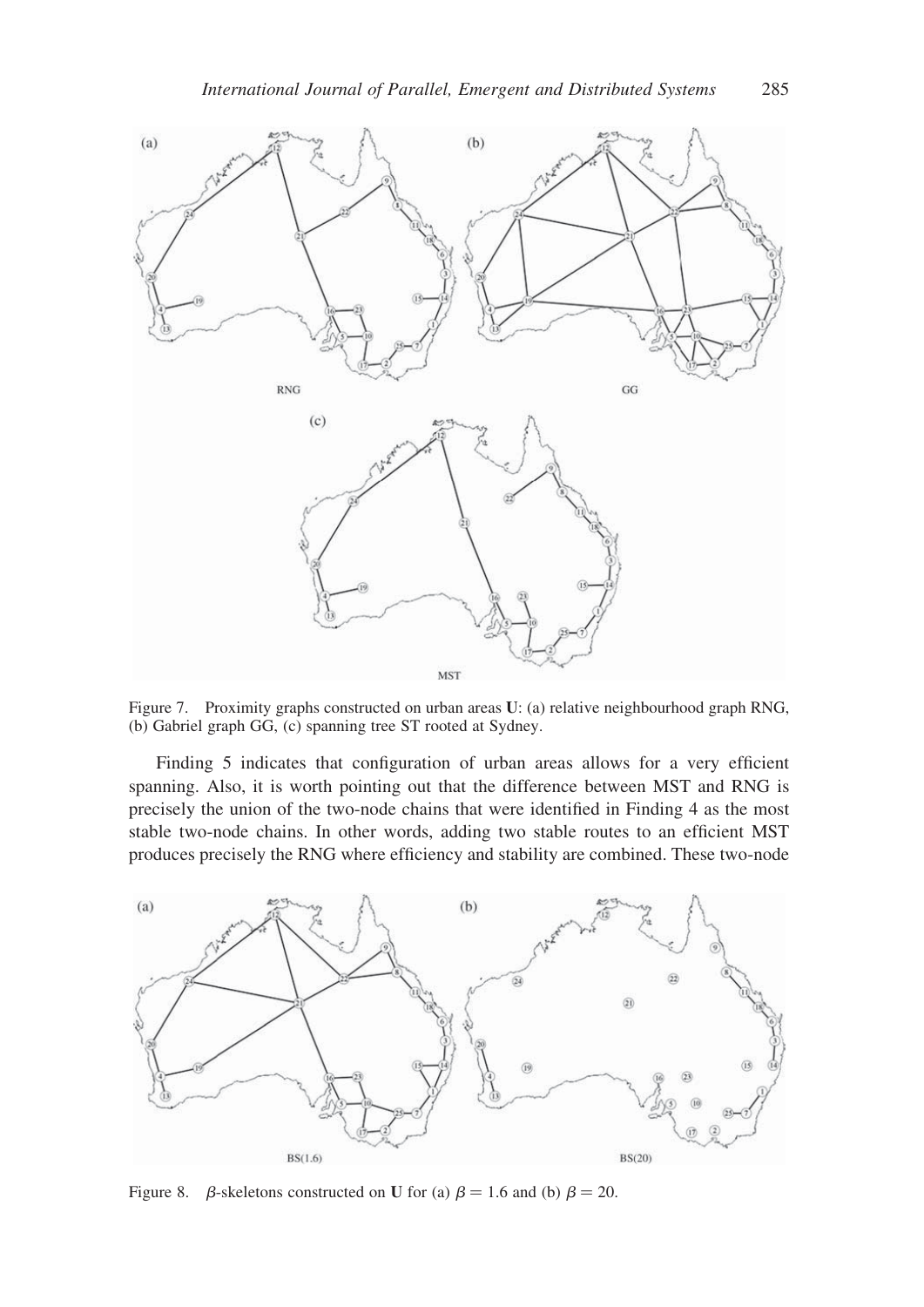

Figure 7. Proximity graphs constructed on urban areas U: (a) relative neighbourhood graph RNG, (b) Gabriel graph GG, (c) spanning tree ST rooted at Sydney.

Finding 5 indicates that configuration of urban areas allows for a very efficient spanning. Also, it is worth pointing out that the difference between MST and RNG is precisely the union of the two-node chains that were identified in Finding 4 as the most stable two-node chains. In other words, adding two stable routes to an efficient MST produces precisely the RNG where efficiency and stability are combined. These two-node



Figure 8.  $\beta$ -skeletons constructed on U for (a)  $\beta = 1.6$  and (b)  $\beta = 20$ .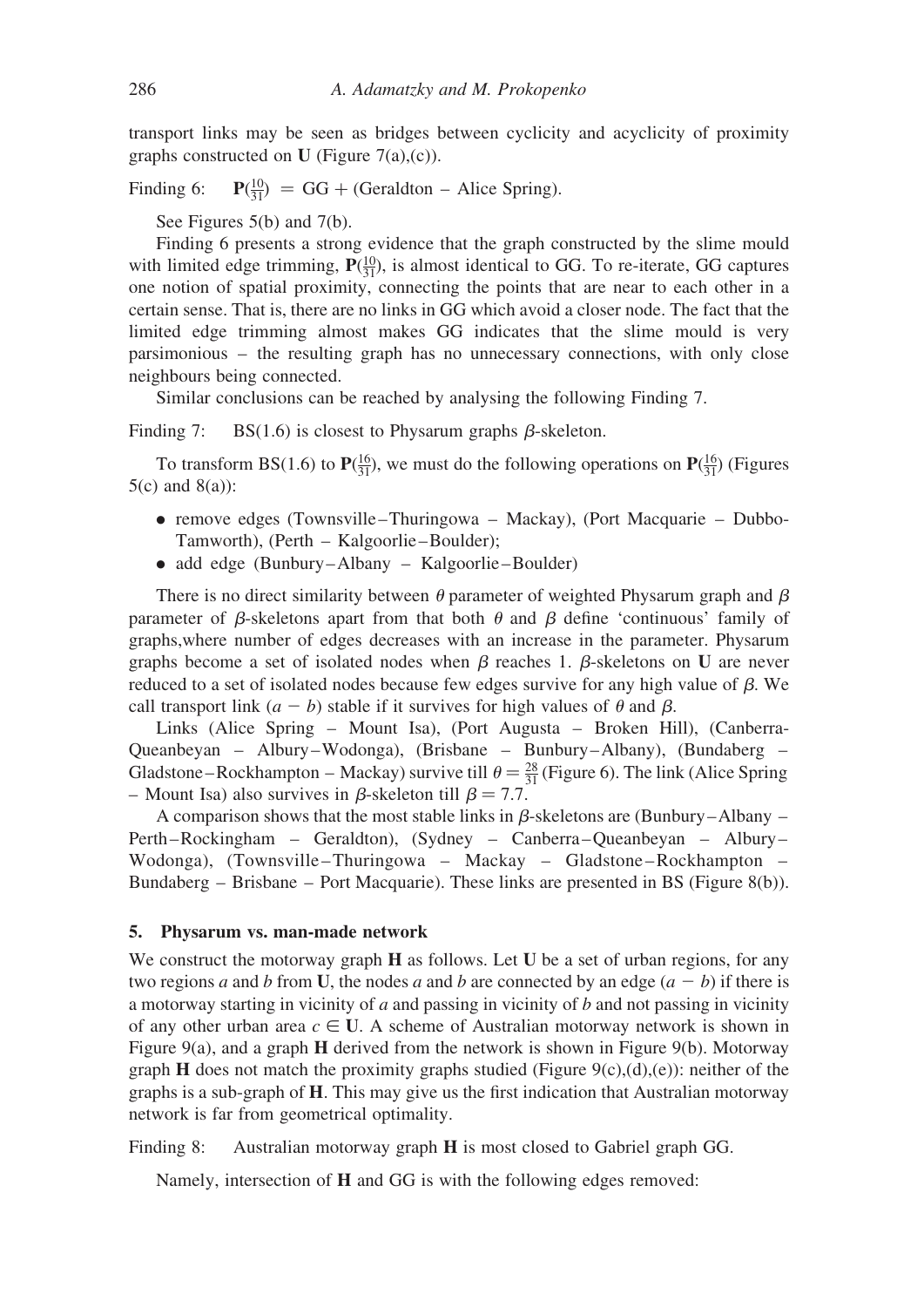transport links may be seen as bridges between cyclicity and acyclicity of proximity graphs constructed on U (Figure 7(a),(c)).

Finding 6:  $\frac{10}{31}$  = GG + (Geraldton – Alice Spring).

See Figures 5(b) and 7(b).

Finding 6 presents a strong evidence that the graph constructed by the slime mould with limited edge trimming,  $P(\frac{10}{31})$ , is almost identical to GG. To re-iterate, GG captures one notion of spatial proximity, connecting the points that are near to each other in a certain sense. That is, there are no links in GG which avoid a closer node. The fact that the limited edge trimming almost makes GG indicates that the slime mould is very parsimonious – the resulting graph has no unnecessary connections, with only close neighbours being connected.

Similar conclusions can be reached by analysing the following Finding 7.

Finding 7: BS(1.6) is closest to Physarum graphs  $\beta$ -skeleton.

To transform BS(1.6) to  $P(\frac{16}{31})$ , we must do the following operations on  $P(\frac{16}{31})$  (Figures  $5(c)$  and  $8(a)$ :

- remove edges (Townsville–Thuringowa Mackay), (Port Macquarie Dubbo-Tamworth), (Perth – Kalgoorlie–Boulder);
- add edge (Bunbury–Albany Kalgoorlie–Boulder)

There is no direct similarity between  $\theta$  parameter of weighted Physarum graph and  $\beta$ parameter of  $\beta$ -skeletons apart from that both  $\theta$  and  $\beta$  define 'continuous' family of graphs,where number of edges decreases with an increase in the parameter. Physarum graphs become a set of isolated nodes when  $\beta$  reaches 1.  $\beta$ -skeletons on U are never reduced to a set of isolated nodes because few edges survive for any high value of  $\beta$ . We call transport link  $(a - b)$  stable if it survives for high values of  $\theta$  and  $\beta$ .

Links (Alice Spring – Mount Isa), (Port Augusta – Broken Hill), (Canberra-Queanbeyan – Albury –Wodonga), (Brisbane – Bunbury –Albany), (Bundaberg – Gladstone–Rockhampton – Mackay) survive till  $\theta = \frac{28}{31}$  (Figure 6). The link (Alice Spring – Mount Isa) also survives in  $\beta$ -skeleton till  $\beta = 7.7$ .

A comparison shows that the most stable links in  $\beta$ -skeletons are (Bunbury–Albany – Perth –Rockingham – Geraldton), (Sydney – Canberra –Queanbeyan – Albury – Wodonga), (Townsville-Thuringowa - Mackay - Gladstone-Rockhampton -Bundaberg – Brisbane – Port Macquarie). These links are presented in BS (Figure 8(b)).

#### 5. Physarum vs. man-made network

We construct the motorway graph **H** as follows. Let **U** be a set of urban regions, for any two regions a and b from U, the nodes a and b are connected by an edge  $(a - b)$  if there is a motorway starting in vicinity of  $a$  and passing in vicinity of  $b$  and not passing in vicinity of any other urban area  $c \in U$ . A scheme of Australian motorway network is shown in Figure 9(a), and a graph H derived from the network is shown in Figure 9(b). Motorway graph **H** does not match the proximity graphs studied (Figure 9(c),(d),(e)): neither of the graphs is a sub-graph of  $H$ . This may give us the first indication that Australian motorway network is far from geometrical optimality.

Finding 8: Australian motorway graph H is most closed to Gabriel graph GG.

Namely, intersection of H and GG is with the following edges removed: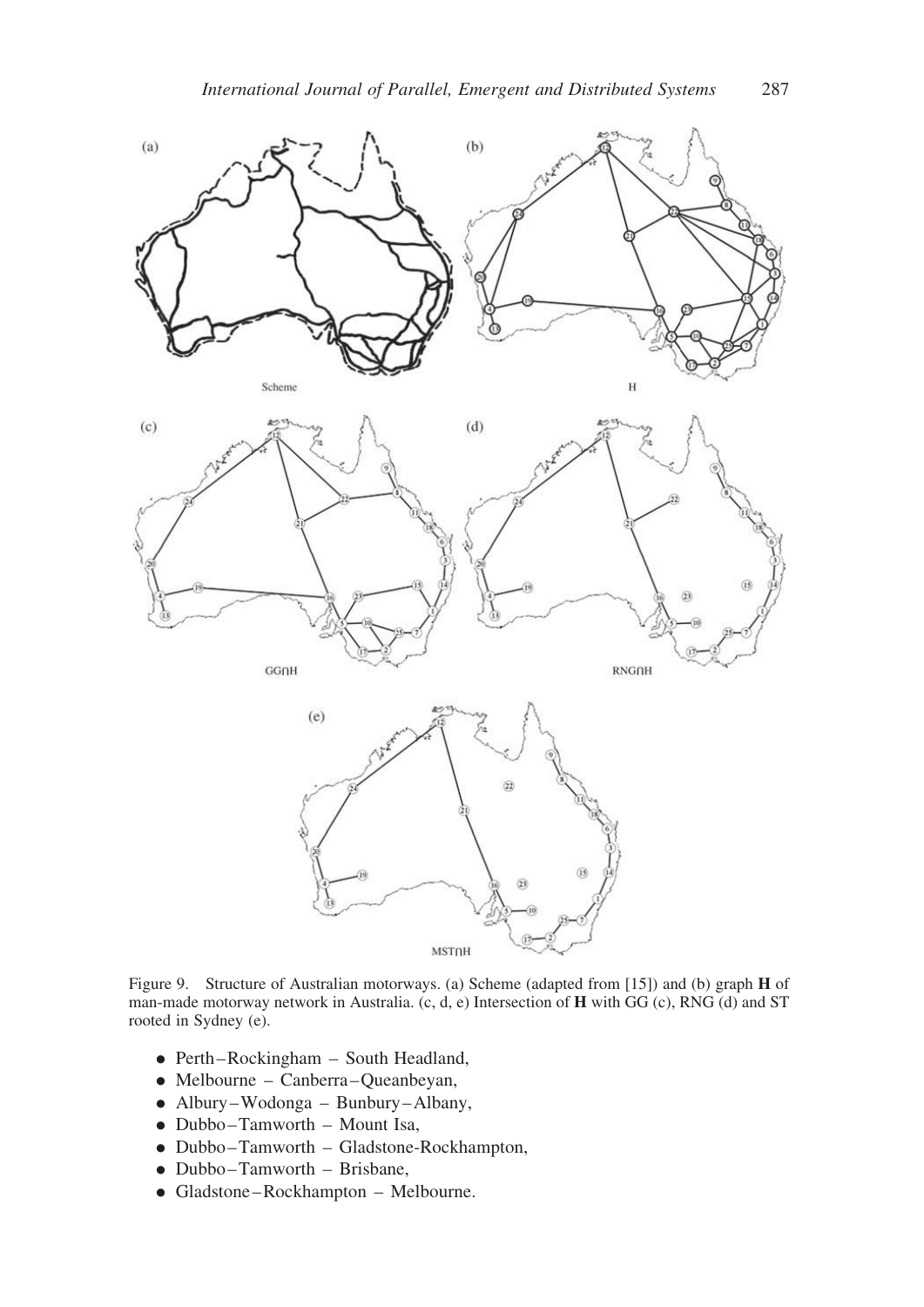

Figure 9. Structure of Australian motorways. (a) Scheme (adapted from [15]) and (b) graph H of man-made motorway network in Australia. (c, d, e) Intersection of H with GG (c), RNG (d) and ST rooted in Sydney (e).

- . Perth –Rockingham South Headland,
- . Melbourne Canberra –Queanbeyan,
- . Albury –Wodonga Bunbury –Albany,
- . Dubbo–Tamworth Mount Isa,
- . Dubbo–Tamworth Gladstone-Rockhampton,
- . Dubbo–Tamworth Brisbane,
- . Gladstone –Rockhampton Melbourne.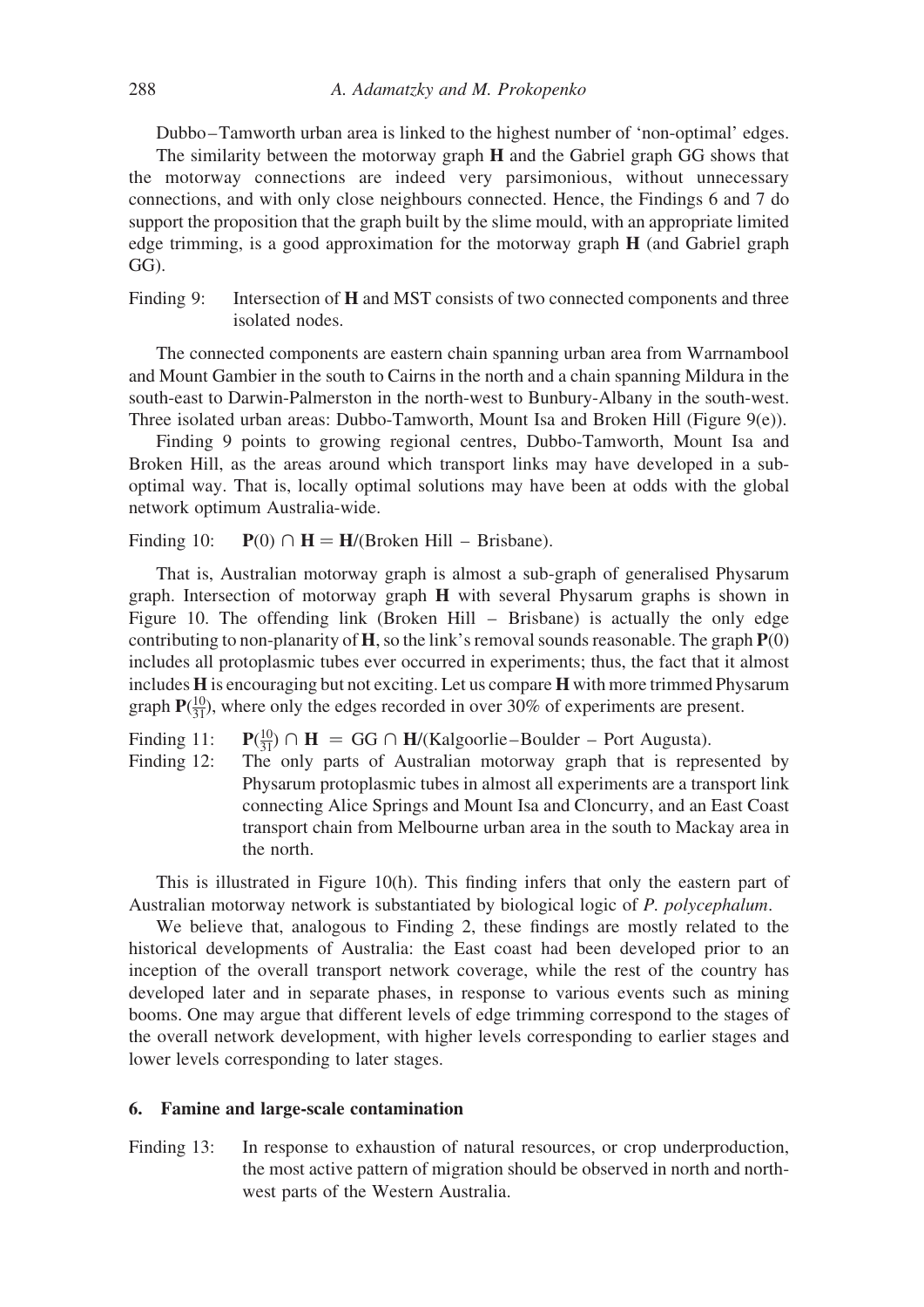Dubbo –Tamworth urban area is linked to the highest number of 'non-optimal' edges.

The similarity between the motorway graph H and the Gabriel graph GG shows that the motorway connections are indeed very parsimonious, without unnecessary connections, and with only close neighbours connected. Hence, the Findings 6 and 7 do support the proposition that the graph built by the slime mould, with an appropriate limited edge trimming, is a good approximation for the motorway graph  $H$  (and Gabriel graph GG).

Finding 9: Intersection of **H** and MST consists of two connected components and three isolated nodes.

The connected components are eastern chain spanning urban area from Warrnambool and Mount Gambier in the south to Cairns in the north and a chain spanning Mildura in the south-east to Darwin-Palmerston in the north-west to Bunbury-Albany in the south-west. Three isolated urban areas: Dubbo-Tamworth, Mount Isa and Broken Hill (Figure 9(e)).

Finding 9 points to growing regional centres, Dubbo-Tamworth, Mount Isa and Broken Hill, as the areas around which transport links may have developed in a suboptimal way. That is, locally optimal solutions may have been at odds with the global network optimum Australia-wide.

Finding 10:  $P(0) \cap H = H/(B \cap F)$  Hill – Brisbane).

That is, Australian motorway graph is almost a sub-graph of generalised Physarum graph. Intersection of motorway graph H with several Physarum graphs is shown in Figure 10. The offending link (Broken Hill – Brisbane) is actually the only edge contributing to non-planarity of  $H$ , so the link's removal sounds reasonable. The graph  $P(0)$ includes all protoplasmic tubes ever occurred in experiments; thus, the fact that it almost includes H is encouraging but not exciting. Let us compare H with more trimmed Physarum graph  $P(\frac{10}{31})$ , where only the edges recorded in over 30% of experiments are present.

Finding 11:  $\frac{10}{31}$   $\cap$  **H** = GG  $\cap$  **H**/(Kalgoorlie–Boulder – Port Augusta).

Finding 12: The only parts of Australian motorway graph that is represented by Physarum protoplasmic tubes in almost all experiments are a transport link connecting Alice Springs and Mount Isa and Cloncurry, and an East Coast transport chain from Melbourne urban area in the south to Mackay area in the north.

This is illustrated in Figure 10(h). This finding infers that only the eastern part of Australian motorway network is substantiated by biological logic of P. polycephalum.

We believe that, analogous to Finding 2, these findings are mostly related to the historical developments of Australia: the East coast had been developed prior to an inception of the overall transport network coverage, while the rest of the country has developed later and in separate phases, in response to various events such as mining booms. One may argue that different levels of edge trimming correspond to the stages of the overall network development, with higher levels corresponding to earlier stages and lower levels corresponding to later stages.

### 6. Famine and large-scale contamination

Finding 13: In response to exhaustion of natural resources, or crop underproduction, the most active pattern of migration should be observed in north and northwest parts of the Western Australia.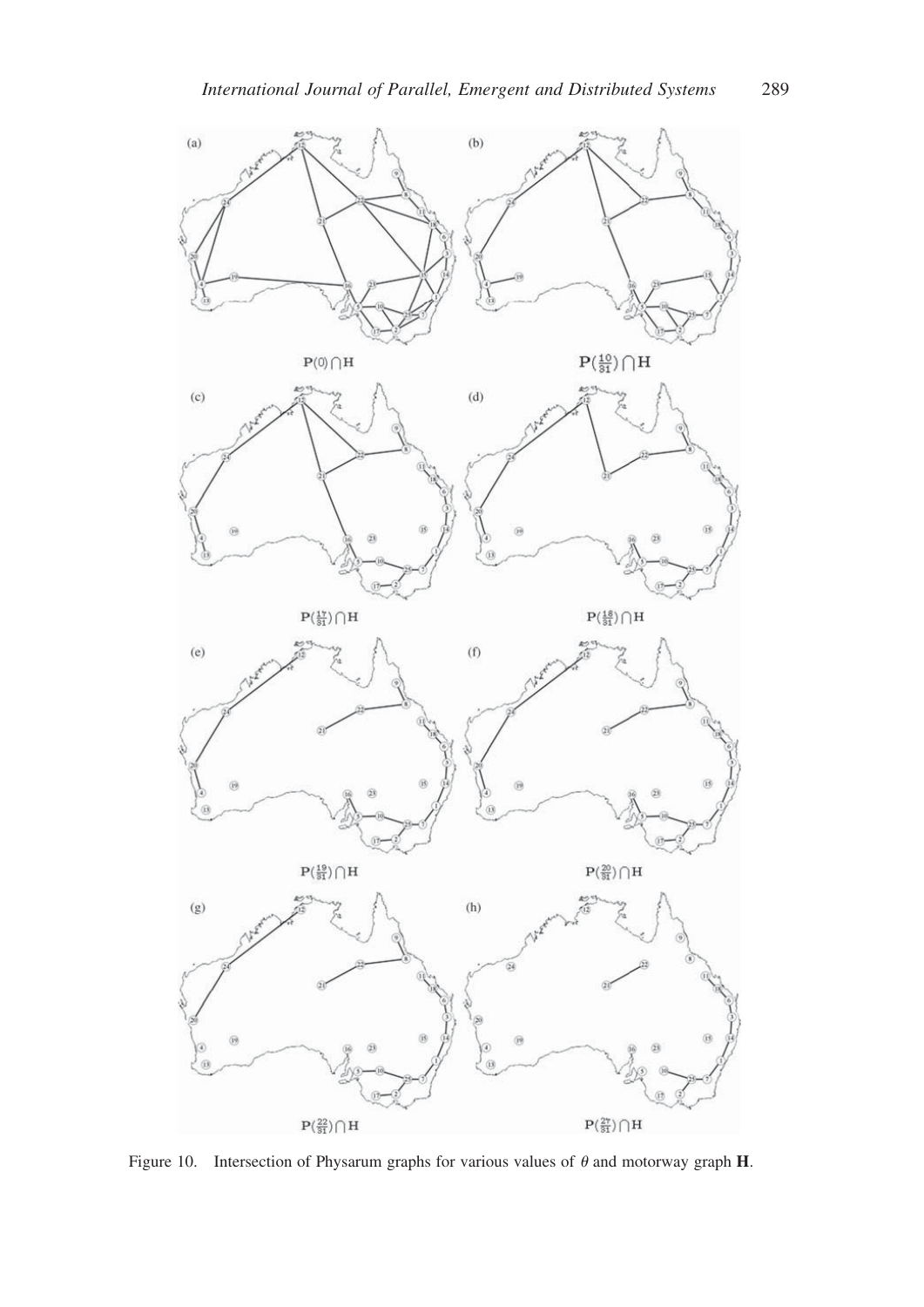

Figure 10. Intersection of Physarum graphs for various values of  $\theta$  and motorway graph H.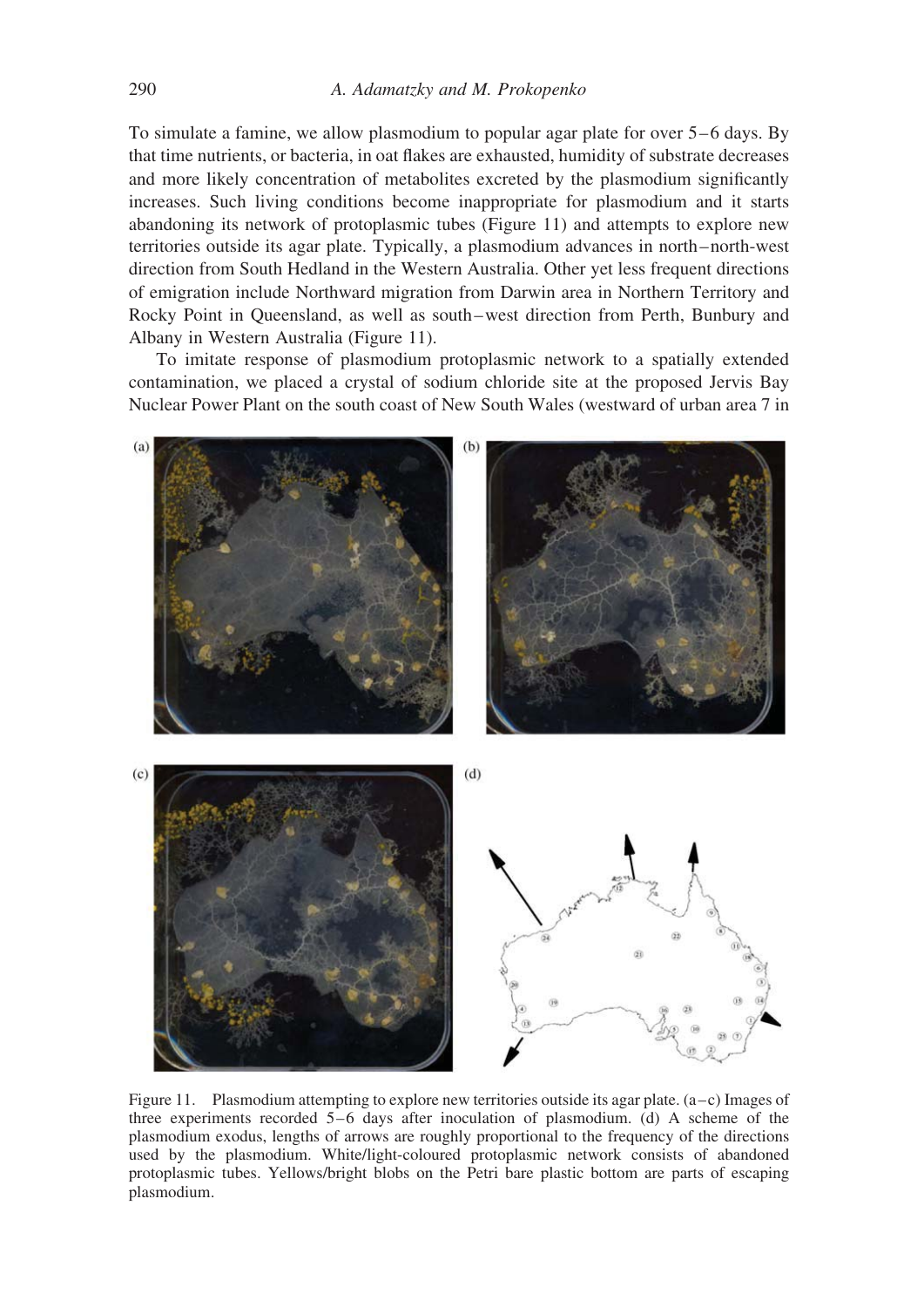To simulate a famine, we allow plasmodium to popular agar plate for over  $5-6$  days. By that time nutrients, or bacteria, in oat flakes are exhausted, humidity of substrate decreases and more likely concentration of metabolites excreted by the plasmodium significantly increases. Such living conditions become inappropriate for plasmodium and it starts abandoning its network of protoplasmic tubes (Figure 11) and attempts to explore new territories outside its agar plate. Typically, a plasmodium advances in north –north-west direction from South Hedland in the Western Australia. Other yet less frequent directions of emigration include Northward migration from Darwin area in Northern Territory and Rocky Point in Queensland, as well as south–west direction from Perth, Bunbury and Albany in Western Australia (Figure 11).

To imitate response of plasmodium protoplasmic network to a spatially extended contamination, we placed a crystal of sodium chloride site at the proposed Jervis Bay Nuclear Power Plant on the south coast of New South Wales (westward of urban area 7 in



Figure 11. Plasmodium attempting to explore new territories outside its agar plate.  $(a-c)$  Images of three experiments recorded  $5-6$  days after inoculation of plasmodium. (d) A scheme of the plasmodium exodus, lengths of arrows are roughly proportional to the frequency of the directions used by the plasmodium. White/light-coloured protoplasmic network consists of abandoned protoplasmic tubes. Yellows/bright blobs on the Petri bare plastic bottom are parts of escaping plasmodium.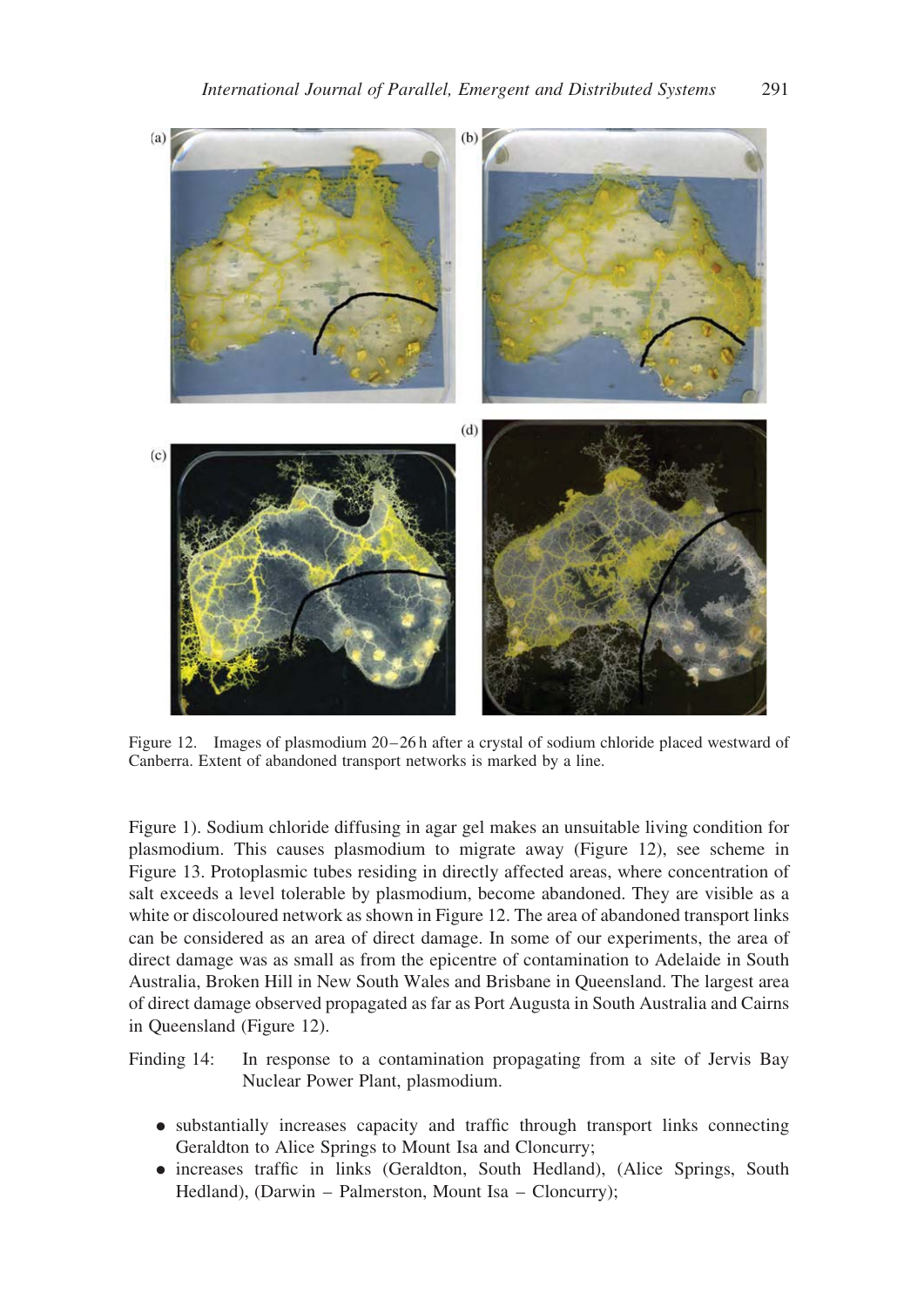

Figure 12. Images of plasmodium 20–26 h after a crystal of sodium chloride placed westward of Canberra. Extent of abandoned transport networks is marked by a line.

Figure 1). Sodium chloride diffusing in agar gel makes an unsuitable living condition for plasmodium. This causes plasmodium to migrate away (Figure 12), see scheme in Figure 13. Protoplasmic tubes residing in directly affected areas, where concentration of salt exceeds a level tolerable by plasmodium, become abandoned. They are visible as a white or discoloured network as shown in Figure 12. The area of abandoned transport links can be considered as an area of direct damage. In some of our experiments, the area of direct damage was as small as from the epicentre of contamination to Adelaide in South Australia, Broken Hill in New South Wales and Brisbane in Queensland. The largest area of direct damage observed propagated as far as Port Augusta in South Australia and Cairns in Queensland (Figure 12).

Finding 14: In response to a contamination propagating from a site of Jervis Bay Nuclear Power Plant, plasmodium.

- . substantially increases capacity and traffic through transport links connecting Geraldton to Alice Springs to Mount Isa and Cloncurry;
- . increases traffic in links (Geraldton, South Hedland), (Alice Springs, South Hedland), (Darwin – Palmerston, Mount Isa – Cloncurry);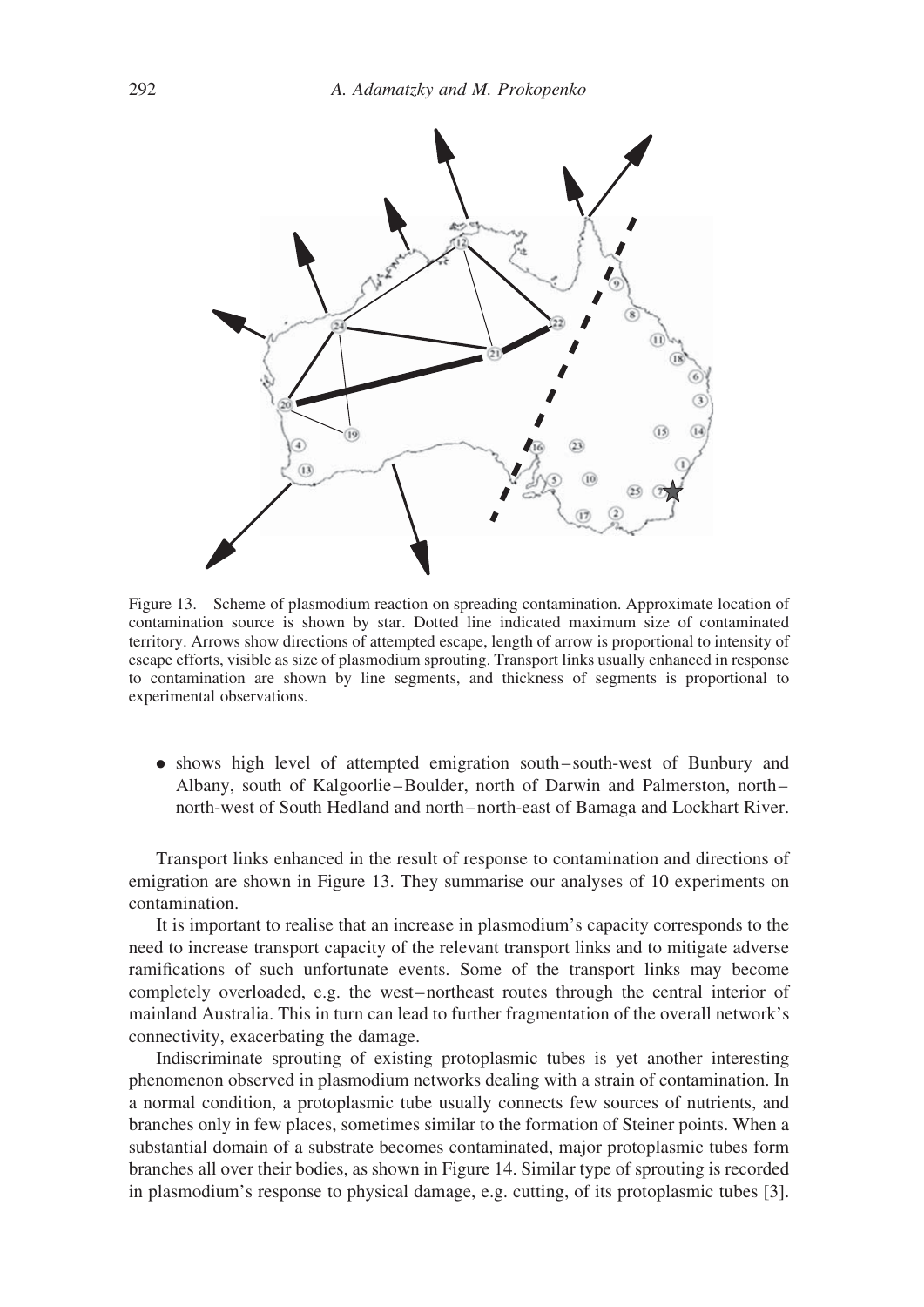

Figure 13. Scheme of plasmodium reaction on spreading contamination. Approximate location of contamination source is shown by star. Dotted line indicated maximum size of contaminated territory. Arrows show directions of attempted escape, length of arrow is proportional to intensity of escape efforts, visible as size of plasmodium sprouting. Transport links usually enhanced in response to contamination are shown by line segments, and thickness of segments is proportional to experimental observations.

. shows high level of attempted emigration south – south-west of Bunbury and Albany, south of Kalgoorlie –Boulder, north of Darwin and Palmerston, north – north-west of South Hedland and north –north-east of Bamaga and Lockhart River.

Transport links enhanced in the result of response to contamination and directions of emigration are shown in Figure 13. They summarise our analyses of 10 experiments on contamination.

It is important to realise that an increase in plasmodium's capacity corresponds to the need to increase transport capacity of the relevant transport links and to mitigate adverse ramifications of such unfortunate events. Some of the transport links may become completely overloaded, e.g. the west-northeast routes through the central interior of mainland Australia. This in turn can lead to further fragmentation of the overall network's connectivity, exacerbating the damage.

Indiscriminate sprouting of existing protoplasmic tubes is yet another interesting phenomenon observed in plasmodium networks dealing with a strain of contamination. In a normal condition, a protoplasmic tube usually connects few sources of nutrients, and branches only in few places, sometimes similar to the formation of Steiner points. When a substantial domain of a substrate becomes contaminated, major protoplasmic tubes form branches all over their bodies, as shown in Figure 14. Similar type of sprouting is recorded in plasmodium's response to physical damage, e.g. cutting, of its protoplasmic tubes [3].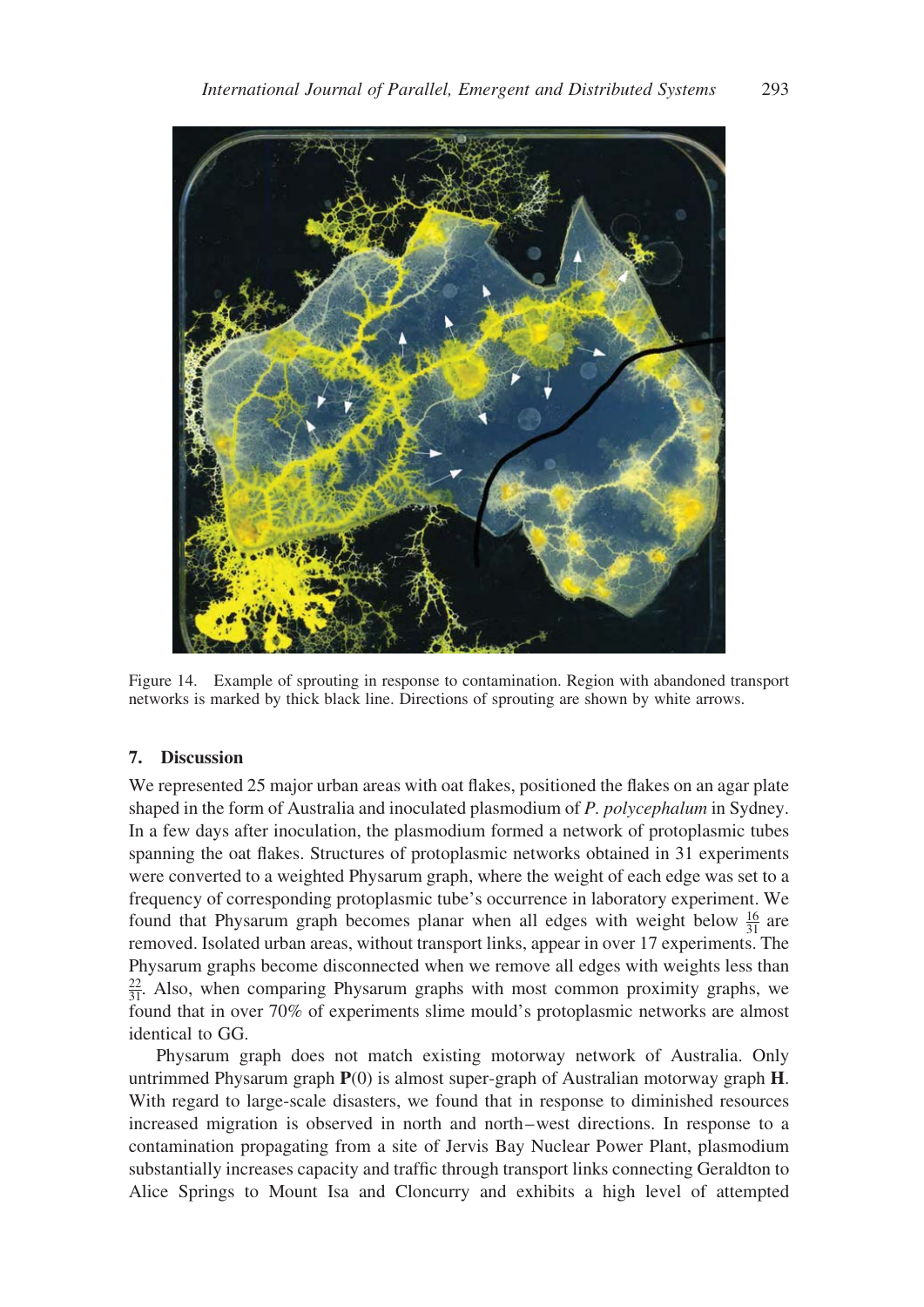

Figure 14. Example of sprouting in response to contamination. Region with abandoned transport networks is marked by thick black line. Directions of sprouting are shown by white arrows.

# 7. Discussion

We represented 25 major urban areas with oat flakes, positioned the flakes on an agar plate shaped in the form of Australia and inoculated plasmodium of P. polycephalum in Sydney. In a few days after inoculation, the plasmodium formed a network of protoplasmic tubes spanning the oat flakes. Structures of protoplasmic networks obtained in 31 experiments were converted to a weighted Physarum graph, where the weight of each edge was set to a frequency of corresponding protoplasmic tube's occurrence in laboratory experiment. We found that Physarum graph becomes planar when all edges with weight below  $\frac{16}{31}$  are removed. Isolated urban areas, without transport links, appear in over 17 experiments. The Physarum graphs become disconnected when we remove all edges with weights less than  $\frac{22}{31}$ . Also, when comparing Physarum graphs with most common proximity graphs, we found that in over 70% of experiments slime mould's protoplasmic networks are almost identical to GG.

Physarum graph does not match existing motorway network of Australia. Only untrimmed Physarum graph  $P(0)$  is almost super-graph of Australian motorway graph  $H$ . With regard to large-scale disasters, we found that in response to diminished resources increased migration is observed in north and north –west directions. In response to a contamination propagating from a site of Jervis Bay Nuclear Power Plant, plasmodium substantially increases capacity and traffic through transport links connecting Geraldton to Alice Springs to Mount Isa and Cloncurry and exhibits a high level of attempted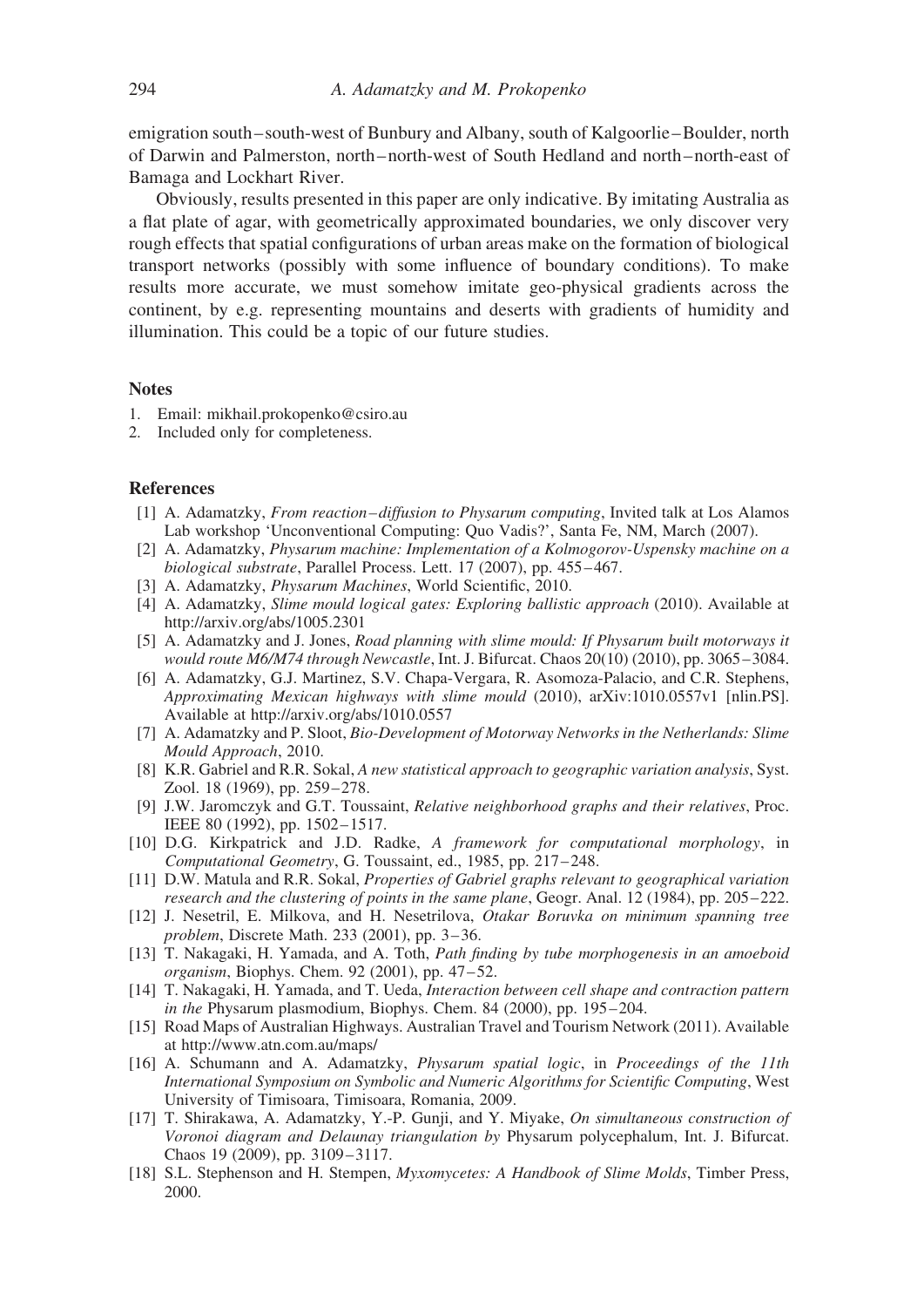emigration south – south-west of Bunbury and Albany, south of Kalgoorlie –Boulder, north of Darwin and Palmerston, north –north-west of South Hedland and north –north-east of Bamaga and Lockhart River.

Obviously, results presented in this paper are only indicative. By imitating Australia as a flat plate of agar, with geometrically approximated boundaries, we only discover very rough effects that spatial configurations of urban areas make on the formation of biological transport networks (possibly with some influence of boundary conditions). To make results more accurate, we must somehow imitate geo-physical gradients across the continent, by e.g. representing mountains and deserts with gradients of humidity and illumination. This could be a topic of our future studies.

#### **Notes**

- 1. Email: mikhail.prokopenko@csiro.au
- 2. Included only for completeness.

#### References

- [1] A. Adamatzky, *From reaction-diffusion to Physarum computing*, Invited talk at Los Alamos Lab workshop 'Unconventional Computing: Quo Vadis?', Santa Fe, NM, March (2007).
- [2] A. Adamatzky, Physarum machine: Implementation of a Kolmogorov-Uspensky machine on a biological substrate, Parallel Process. Lett. 17 (2007), pp. 455-467.
- [3] A. Adamatzky, *Physarum Machines*, World Scientific, 2010.
- [4] A. Adamatzky, *Slime mould logical gates: Exploring ballistic approach* (2010). Available at http://arxiv.org/abs/1005.2301
- [5] A. Adamatzky and J. Jones, *Road planning with slime mould: If Physarum built motorways it* would route M6/M74 through Newcastle, Int. J. Bifurcat. Chaos 20(10) (2010), pp. 3065 –3084.
- [6] A. Adamatzky, G.J. Martinez, S.V. Chapa-Vergara, R. Asomoza-Palacio, and C.R. Stephens, Approximating Mexican highways with slime mould (2010), arXiv:1010.0557v1 [nlin.PS]. Available at http://arxiv.org/abs/1010.0557
- [7] A. Adamatzky and P. Sloot, Bio-Development of Motorway Networks in the Netherlands: Slime Mould Approach, 2010.
- [8] K.R. Gabriel and R.R. Sokal, A new statistical approach to geographic variation analysis, Syst. Zool. 18 (1969), pp. 259–278.
- [9] J.W. Jaromczyk and G.T. Toussaint, Relative neighborhood graphs and their relatives, Proc. IEEE 80 (1992), pp. 1502–1517.
- [10] D.G. Kirkpatrick and J.D. Radke, A framework for computational morphology, in Computational Geometry, G. Toussaint, ed., 1985, pp. 217–248.
- [11] D.W. Matula and R.R. Sokal, Properties of Gabriel graphs relevant to geographical variation research and the clustering of points in the same plane, Geogr. Anal. 12 (1984), pp. 205–222.
- [12] J. Nesetril, E. Milkova, and H. Nesetrilova, Otakar Boruvka on minimum spanning tree problem, Discrete Math. 233 (2001), pp. 3 – 36.
- [13] T. Nakagaki, H. Yamada, and A. Toth, Path finding by tube morphogenesis in an amoeboid organism, Biophys. Chem. 92 (2001), pp. 47 – 52.
- [14] T. Nakagaki, H. Yamada, and T. Ueda, Interaction between cell shape and contraction pattern in the Physarum plasmodium, Biophys. Chem. 84 (2000), pp. 195-204.
- [15] Road Maps of Australian Highways. Australian Travel and Tourism Network (2011). Available at http://www.atn.com.au/maps/
- [16] A. Schumann and A. Adamatzky, Physarum spatial logic, in Proceedings of the 11th International Symposium on Symbolic and Numeric Algorithms for Scientific Computing, West University of Timisoara, Timisoara, Romania, 2009.
- [17] T. Shirakawa, A. Adamatzky, Y.-P. Gunji, and Y. Miyake, On simultaneous construction of Voronoi diagram and Delaunay triangulation by Physarum polycephalum, Int. J. Bifurcat. Chaos 19 (2009), pp. 3109– 3117.
- [18] S.L. Stephenson and H. Stempen, Myxomycetes: A Handbook of Slime Molds, Timber Press, 2000.